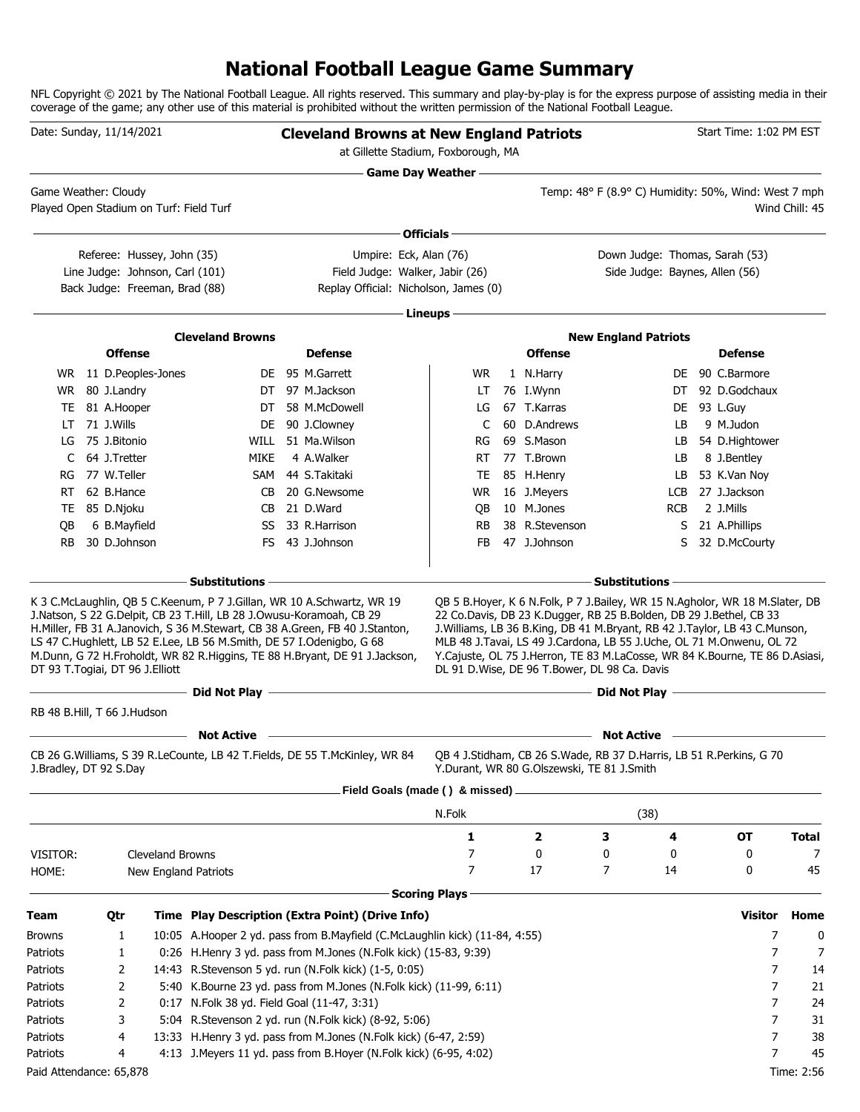# **National Football League Game Summary**

NFL Copyright © 2021 by The National Football League. All rights reserved. This summary and play-by-play is for the express purpose of assisting media in their coverage of the game; any other use of this material is prohibited without the written permission of the National Football League.

|                         | Date: Sunday, 11/14/2021    |                                                                   |                                                                                                                                              | <b>Cleveland Browns at New England Patriots</b><br>at Gillette Stadium, Foxborough, MA                                                                    |                           |                                                                                                                                                                                                                                                                                                                                                             |                                                      |            | Start Time: 1:02 PM EST |                |
|-------------------------|-----------------------------|-------------------------------------------------------------------|----------------------------------------------------------------------------------------------------------------------------------------------|-----------------------------------------------------------------------------------------------------------------------------------------------------------|---------------------------|-------------------------------------------------------------------------------------------------------------------------------------------------------------------------------------------------------------------------------------------------------------------------------------------------------------------------------------------------------------|------------------------------------------------------|------------|-------------------------|----------------|
|                         | Game Weather: Cloudy        |                                                                   |                                                                                                                                              |                                                                                                                                                           | <b>Game Day Weather —</b> |                                                                                                                                                                                                                                                                                                                                                             | Temp: 48° F (8.9° C) Humidity: 50%, Wind: West 7 mph |            |                         |                |
|                         |                             | Played Open Stadium on Turf: Field Turf                           |                                                                                                                                              |                                                                                                                                                           |                           |                                                                                                                                                                                                                                                                                                                                                             |                                                      |            |                         | Wind Chill: 45 |
|                         |                             |                                                                   |                                                                                                                                              |                                                                                                                                                           | Officials $-$             |                                                                                                                                                                                                                                                                                                                                                             |                                                      |            |                         |                |
|                         |                             | Referee: Hussey, John (35)                                        |                                                                                                                                              | Umpire: Eck, Alan (76)                                                                                                                                    |                           |                                                                                                                                                                                                                                                                                                                                                             | Down Judge: Thomas, Sarah (53)                       |            |                         |                |
|                         |                             | Line Judge: Johnson, Carl (101)<br>Back Judge: Freeman, Brad (88) |                                                                                                                                              | Field Judge: Walker, Jabir (26)<br>Replay Official: Nicholson, James (0)                                                                                  |                           |                                                                                                                                                                                                                                                                                                                                                             | Side Judge: Baynes, Allen (56)                       |            |                         |                |
|                         |                             |                                                                   |                                                                                                                                              |                                                                                                                                                           |                           |                                                                                                                                                                                                                                                                                                                                                             |                                                      |            |                         |                |
|                         |                             |                                                                   |                                                                                                                                              |                                                                                                                                                           | Lineups -                 |                                                                                                                                                                                                                                                                                                                                                             |                                                      |            |                         |                |
|                         |                             |                                                                   | <b>Cleveland Browns</b>                                                                                                                      |                                                                                                                                                           |                           |                                                                                                                                                                                                                                                                                                                                                             | <b>New England Patriots</b>                          |            |                         |                |
|                         | <b>Offense</b>              |                                                                   |                                                                                                                                              | <b>Defense</b>                                                                                                                                            |                           | <b>Offense</b>                                                                                                                                                                                                                                                                                                                                              |                                                      |            | <b>Defense</b>          |                |
|                         |                             | WR 11 D.Peoples-Jones                                             |                                                                                                                                              | DE 95 M.Garrett                                                                                                                                           | WR.                       | 1 N.Harry                                                                                                                                                                                                                                                                                                                                                   |                                                      |            | DE 90 C.Barmore         |                |
| WR                      | 80 J.Landry                 |                                                                   | DT                                                                                                                                           | DT 97 M.Jackson<br>58 M.McDowell                                                                                                                          | LT<br>LG                  | 76 I.Wynn<br>67 T.Karras                                                                                                                                                                                                                                                                                                                                    |                                                      | DT         | 92 D.Godchaux           |                |
| TE.<br>LT               | 81 A.Hooper<br>71 J.Wills   |                                                                   | DE                                                                                                                                           | 90 J.Clowney                                                                                                                                              | C                         | 60 D.Andrews                                                                                                                                                                                                                                                                                                                                                |                                                      | DE<br>LB   | 93 L.Guy<br>9 M.Judon   |                |
| LG                      | 75 J.Bitonio                |                                                                   |                                                                                                                                              | WILL 51 Ma. Wilson                                                                                                                                        | RG                        | 69 S.Mason                                                                                                                                                                                                                                                                                                                                                  |                                                      | LB         | 54 D.Hightower          |                |
| C                       | 64 J.Tretter                |                                                                   | MIKE                                                                                                                                         | 4 A.Walker                                                                                                                                                | RT.                       | 77 T.Brown                                                                                                                                                                                                                                                                                                                                                  |                                                      | LB         | 8 J.Bentley             |                |
| RG                      | 77 W.Teller                 |                                                                   | SAM                                                                                                                                          | 44 S.Takitaki                                                                                                                                             | TE                        | 85 H.Henry                                                                                                                                                                                                                                                                                                                                                  |                                                      | LB         | 53 K.Van Nov            |                |
| RT.                     | 62 B.Hance                  |                                                                   | CB.                                                                                                                                          | 20 G.Newsome                                                                                                                                              | WR.                       | 16 J.Meyers                                                                                                                                                                                                                                                                                                                                                 |                                                      | LCB        | 27 J.Jackson            |                |
| TE                      | 85 D.Njoku                  |                                                                   | CB                                                                                                                                           | 21 D.Ward                                                                                                                                                 | QB                        | 10 M.Jones                                                                                                                                                                                                                                                                                                                                                  |                                                      | <b>RCB</b> | 2 J.Mills               |                |
| OВ                      | 6 B.Mayfield                |                                                                   | SS                                                                                                                                           | 33 R.Harrison                                                                                                                                             | RB                        | 38 R.Stevenson                                                                                                                                                                                                                                                                                                                                              |                                                      | S.         | 21 A.Phillips           |                |
| <b>RB</b>               | 30 D.Johnson                |                                                                   |                                                                                                                                              | FS 43 J.Johnson                                                                                                                                           | FB                        | 47 J.Johnson                                                                                                                                                                                                                                                                                                                                                |                                                      | S          | 32 D.McCourty           |                |
|                         |                             |                                                                   | <b>Substitutions</b>                                                                                                                         |                                                                                                                                                           |                           |                                                                                                                                                                                                                                                                                                                                                             | <b>Substitutions</b>                                 |            |                         |                |
|                         |                             | DT 93 T.Togiai, DT 96 J.Elliott                                   | J.Natson, S 22 G.Delpit, CB 23 T.Hill, LB 28 J.Owusu-Koramoah, CB 29<br>LS 47 C.Hughlett, LB 52 E.Lee, LB 56 M.Smith, DE 57 I.Odenigbo, G 68 | H.Miller, FB 31 A.Janovich, S 36 M.Stewart, CB 38 A.Green, FB 40 J.Stanton,<br>M.Dunn, G 72 H.Froholdt, WR 82 R.Higgins, TE 88 H.Bryant, DE 91 J.Jackson, |                           | 22 Co.Davis, DB 23 K.Dugger, RB 25 B.Bolden, DB 29 J.Bethel, CB 33<br>J. Williams, LB 36 B. King, DB 41 M. Bryant, RB 42 J. Taylor, LB 43 C. Munson,<br>MLB 48 J.Tavai, LS 49 J.Cardona, LB 55 J.Uche, OL 71 M.Onwenu, OL 72<br>Y.Cajuste, OL 75 J.Herron, TE 83 M.LaCosse, WR 84 K.Bourne, TE 86 D.Asiasi,<br>DL 91 D.Wise, DE 96 T.Bower, DL 98 Ca. Davis |                                                      |            |                         |                |
|                         | RB 48 B.Hill, T 66 J.Hudson |                                                                   | Did Not Play -                                                                                                                               | <u> 1989 - Johann Stein, marwolaethau a bhann an t-Amhain an t-Amhain an t-Amhain an t-Amhain an t-Amhain an t-A</u>                                      |                           |                                                                                                                                                                                                                                                                                                                                                             | Did Not Play —                                       |            |                         |                |
|                         |                             |                                                                   | <b>Not Active</b>                                                                                                                            |                                                                                                                                                           |                           |                                                                                                                                                                                                                                                                                                                                                             | <b>Not Active</b>                                    |            |                         |                |
|                         | J.Bradley, DT 92 S.Day      |                                                                   |                                                                                                                                              | CB 26 G. Williams, S 39 R. LeCounte, LB 42 T. Fields, DE 55 T. McKinley, WR 84                                                                            |                           | QB 4 J.Stidham, CB 26 S.Wade, RB 37 D.Harris, LB 51 R.Perkins, G 70<br>Y.Durant, WR 80 G.Olszewski, TE 81 J.Smith                                                                                                                                                                                                                                           |                                                      |            |                         |                |
|                         |                             |                                                                   |                                                                                                                                              | Field Goals (made () & missed) _                                                                                                                          |                           |                                                                                                                                                                                                                                                                                                                                                             |                                                      |            |                         |                |
|                         |                             |                                                                   |                                                                                                                                              |                                                                                                                                                           | N.Folk                    |                                                                                                                                                                                                                                                                                                                                                             | (38)                                                 |            |                         |                |
|                         |                             |                                                                   |                                                                                                                                              |                                                                                                                                                           | 1                         | 2                                                                                                                                                                                                                                                                                                                                                           | з                                                    | 4          | <b>OT</b>               | Total          |
| VISITOR:                |                             | Cleveland Browns                                                  |                                                                                                                                              |                                                                                                                                                           | 7                         | 0                                                                                                                                                                                                                                                                                                                                                           | 0                                                    | 0          | 0                       | 7              |
| HOME:                   |                             | New England Patriots                                              |                                                                                                                                              |                                                                                                                                                           | 7                         | 17                                                                                                                                                                                                                                                                                                                                                          | 7                                                    | 14         | 0                       | 45             |
|                         |                             |                                                                   |                                                                                                                                              |                                                                                                                                                           | <b>Scoring Plays</b>      |                                                                                                                                                                                                                                                                                                                                                             |                                                      |            |                         |                |
| Team                    | Qtr                         |                                                                   |                                                                                                                                              | Time Play Description (Extra Point) (Drive Info)                                                                                                          |                           |                                                                                                                                                                                                                                                                                                                                                             |                                                      |            | <b>Visitor</b>          | Home           |
| Browns                  | 1                           |                                                                   |                                                                                                                                              | 10:05 A.Hooper 2 yd. pass from B.Mayfield (C.McLaughlin kick) (11-84, 4:55)                                                                               |                           |                                                                                                                                                                                                                                                                                                                                                             |                                                      |            | 7                       | 0              |
| Patriots                | 1                           |                                                                   |                                                                                                                                              | 0:26 H.Henry 3 yd. pass from M.Jones (N.Folk kick) (15-83, 9:39)                                                                                          |                           |                                                                                                                                                                                                                                                                                                                                                             |                                                      |            | 7                       | 7              |
| Patriots                | 2                           |                                                                   |                                                                                                                                              | 14:43 R.Stevenson 5 yd. run (N.Folk kick) (1-5, 0:05)                                                                                                     |                           |                                                                                                                                                                                                                                                                                                                                                             |                                                      |            | 7                       | 14             |
| Patriots                | 2                           |                                                                   |                                                                                                                                              | 5:40 K.Bourne 23 yd. pass from M.Jones (N.Folk kick) (11-99, 6:11)                                                                                        |                           |                                                                                                                                                                                                                                                                                                                                                             |                                                      |            | 7                       | 21             |
| Patriots                | 2                           |                                                                   | 0:17 N.Folk 38 yd. Field Goal (11-47, 3:31)                                                                                                  |                                                                                                                                                           |                           |                                                                                                                                                                                                                                                                                                                                                             |                                                      |            | 7                       | 24             |
| Patriots                | 3                           |                                                                   |                                                                                                                                              | 5:04 R.Stevenson 2 yd. run (N.Folk kick) (8-92, 5:06)                                                                                                     |                           |                                                                                                                                                                                                                                                                                                                                                             |                                                      |            | 7                       | 31             |
| Patriots                | 4                           |                                                                   |                                                                                                                                              | 13:33 H.Henry 3 yd. pass from M.Jones (N.Folk kick) (6-47, 2:59)                                                                                          |                           |                                                                                                                                                                                                                                                                                                                                                             |                                                      |            | 7                       | 38             |
| Patriots                | 4                           |                                                                   |                                                                                                                                              | 4:13 J. Meyers 11 yd. pass from B. Hoyer (N. Folk kick) (6-95, 4:02)                                                                                      |                           |                                                                                                                                                                                                                                                                                                                                                             |                                                      |            | 7                       | 45             |
| Paid Attendance: 65,878 |                             |                                                                   |                                                                                                                                              |                                                                                                                                                           |                           |                                                                                                                                                                                                                                                                                                                                                             |                                                      |            |                         | Time: 2:56     |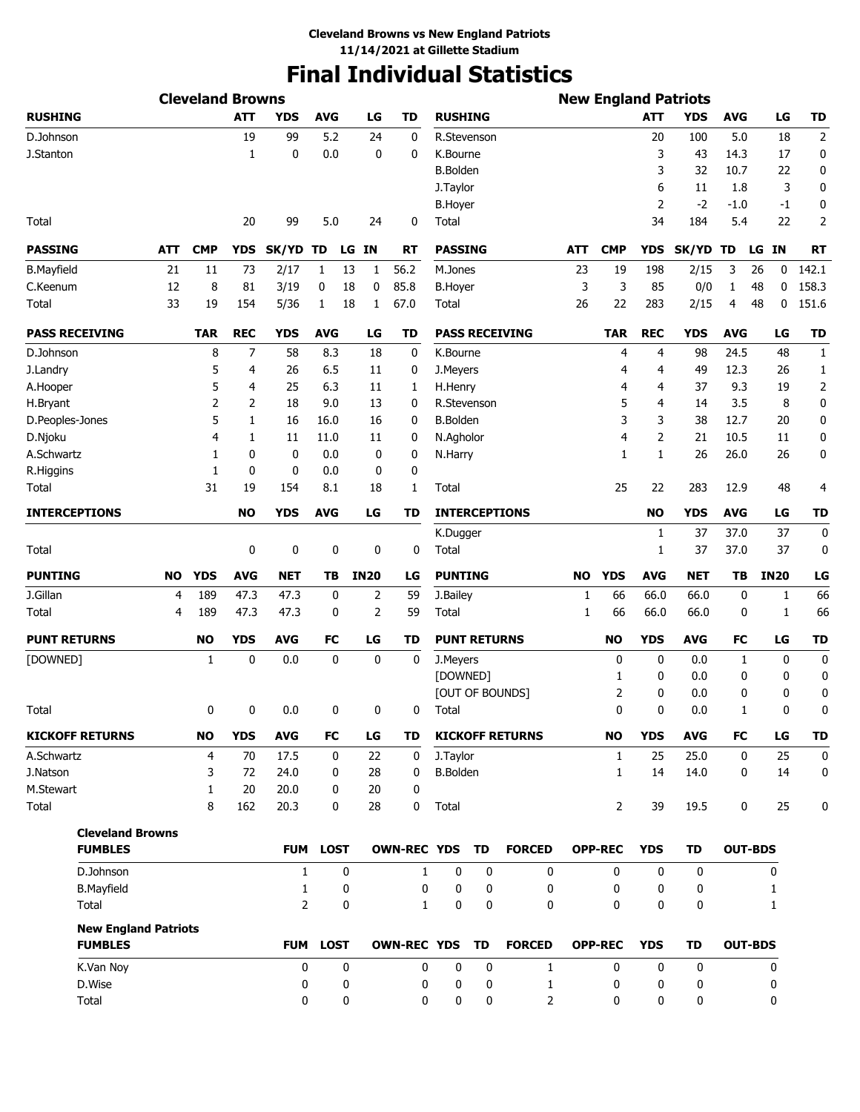# **Final Individual Statistics**

|                             |           | <b>Cleveland Browns</b> |            |                |                 |             |                    |                     |             |                        |     |                |              | <b>New England Patriots</b> |             |                |                |
|-----------------------------|-----------|-------------------------|------------|----------------|-----------------|-------------|--------------------|---------------------|-------------|------------------------|-----|----------------|--------------|-----------------------------|-------------|----------------|----------------|
| <b>RUSHING</b>              |           |                         | <b>ATT</b> | <b>YDS</b>     | <b>AVG</b>      | LG          | <b>TD</b>          | <b>RUSHING</b>      |             |                        |     |                | <b>ATT</b>   | <b>YDS</b>                  | <b>AVG</b>  | LG             | TD             |
| D.Johnson                   |           |                         | 19         | 99             | 5.2             | 24          | 0                  | R.Stevenson         |             |                        |     |                | 20           | 100                         | 5.0         | 18             | $\overline{2}$ |
| J.Stanton                   |           |                         | 1          | 0              | 0.0             | 0           | 0                  | K.Bourne            |             |                        |     |                | 3            | 43                          | 14.3        | 17             | 0              |
|                             |           |                         |            |                |                 |             |                    | <b>B.Bolden</b>     |             |                        |     |                | 3            | 32                          | 10.7        | 22             | 0              |
|                             |           |                         |            |                |                 |             |                    | J. Taylor           |             |                        |     |                | 6            | 11                          | 1.8         | 3              | 0              |
|                             |           |                         |            |                |                 |             |                    | <b>B.Hoyer</b>      |             |                        |     |                | 2            | $-2$                        | $-1.0$      | -1             | 0              |
| Total                       |           |                         | 20         | 99             | 5.0             | 24          | 0                  | Total               |             |                        |     |                | 34           | 184                         | 5.4         | 22             | 2              |
| <b>PASSING</b>              | ATT       | <b>CMP</b>              | <b>YDS</b> | SK/YD          | TD              | LG<br>IN.   | <b>RT</b>          | <b>PASSING</b>      |             |                        | ATT | <b>CMP</b>     | <b>YDS</b>   | <b>SK/YD</b>                | TD          | LG IN          | <b>RT</b>      |
| <b>B.Mayfield</b>           | 21        | 11                      | 73         | 2/17           | 1               | 13<br>1     | 56.2               | M.Jones             |             |                        | 23  | 19             | 198          | 2/15                        | 3           | 26<br>0        | 142.1          |
| C.Keenum                    | 12        | 8                       | 81         | 3/19           | 0               | 18<br>0     | 85.8               | <b>B.Hoyer</b>      |             |                        | 3   | 3              | 85           | 0/0                         | 1           | 48<br>0        | 158.3          |
| Total                       | 33        | 19                      | 154        | 5/36           | 1               | 18<br>1     | 67.0               | Total               |             |                        | 26  | 22             | 283          | 2/15                        | 4           | 48<br>0        | 151.6          |
| <b>PASS RECEIVING</b>       |           | <b>TAR</b>              | <b>REC</b> | <b>YDS</b>     | <b>AVG</b>      | LG          | <b>TD</b>          |                     |             | <b>PASS RECEIVING</b>  |     | TAR            | <b>REC</b>   | <b>YDS</b>                  | <b>AVG</b>  | LG             | TD             |
| D.Johnson                   |           | 8                       | 7          | 58             | 8.3             | 18          | 0                  | K.Bourne            |             |                        |     | 4              | 4            | 98                          | 24.5        | 48             | $\mathbf{1}$   |
| J.Landry                    |           | 5                       | 4          | 26             | 6.5             | 11          | 0                  | J.Meyers            |             |                        |     | 4              | 4            | 49                          | 12.3        | 26             | 1              |
| A.Hooper                    |           | 5                       | 4          | 25             | 6.3             | 11          | $\mathbf{1}$       | H.Henry             |             |                        |     | 4              | 4            | 37                          | 9.3         | 19             | $\overline{2}$ |
| H.Bryant                    |           | 2                       | 2          | 18             | 9.0             | 13          | 0                  |                     | R.Stevenson |                        |     | 5              | 4            | 14                          | 3.5         | 8              | 0              |
| D.Peoples-Jones             |           | 5                       | 1          | 16             | 16.0            | 16          | 0                  | <b>B.Bolden</b>     |             |                        |     | 3              | 3            | 38                          | 12.7        | 20             | 0              |
| D.Njoku                     |           | 4                       | 1          | 11             | 11.0            | 11          | 0                  | N.Agholor           |             |                        |     | 4              | 2            | 21                          | 10.5        | 11             | 0              |
| A.Schwartz                  |           | 1                       | 0          | 0              | 0.0             | 0           | 0                  | N.Harry             |             |                        |     | 1              | $\mathbf{1}$ | 26                          | 26.0        | 26             | 0              |
| R.Higgins                   |           | 1                       | 0          | 0              | 0.0             | 0           | 0                  |                     |             |                        |     |                |              |                             |             |                |                |
| Total                       |           | 31                      | 19         | 154            | 8.1             | 18          | 1                  | Total               |             |                        |     | 25             | 22           | 283                         | 12.9        | 48             | 4              |
| <b>INTERCEPTIONS</b>        |           |                         | <b>NO</b>  | <b>YDS</b>     | <b>AVG</b>      | LG          | TD                 |                     |             | <b>INTERCEPTIONS</b>   |     |                | <b>NO</b>    | <b>YDS</b>                  | <b>AVG</b>  | LG             | TD             |
|                             |           |                         |            |                |                 |             |                    | K.Dugger            |             |                        |     |                | 1            | 37                          | 37.0        | 37             | 0              |
| Total                       |           |                         | 0          | 0              | 0               | 0           | 0                  | Total               |             |                        |     |                | 1            | 37                          | 37.0        | 37             | 0              |
| <b>PUNTING</b>              | <b>NO</b> | <b>YDS</b>              | <b>AVG</b> | <b>NET</b>     | TB              | <b>IN20</b> | LG                 | <b>PUNTING</b>      |             |                        | NO  | <b>YDS</b>     | <b>AVG</b>   | <b>NET</b>                  | TВ          | <b>IN20</b>    | LG             |
| J.Gillan                    | 4         | 189                     | 47.3       | 47.3           | 0               | 2           | 59                 | J.Bailey            |             |                        | 1   | 66             | 66.0         | 66.0                        | 0           | 1              | 66             |
| Total                       | 4         | 189                     | 47.3       | 47.3           | 0               | 2           | 59                 | Total               |             |                        | 1   | 66             | 66.0         | 66.0                        | 0           | 1              | 66             |
| <b>PUNT RETURNS</b>         |           | <b>NO</b>               | <b>YDS</b> | <b>AVG</b>     | <b>FC</b>       | LG          | <b>TD</b>          | <b>PUNT RETURNS</b> |             |                        |     | <b>NO</b>      | <b>YDS</b>   | <b>AVG</b>                  | FC          | LG             | TD             |
| [DOWNED]                    |           | 1                       | 0          | 0.0            | 0               | $\mathbf 0$ | 0                  | J.Meyers            |             |                        |     | 0              | 0            | 0.0                         | 1           | 0              | 0              |
|                             |           |                         |            |                |                 |             |                    | [DOWNED]            |             |                        |     | 1              | 0            | 0.0                         | 0           | 0              | 0              |
|                             |           |                         |            |                |                 |             |                    |                     |             | [OUT OF BOUNDS]        |     | 2              | 0            | 0.0                         | 0           | 0              | 0              |
| Total                       |           | 0                       | 0          | 0.0            | 0               | 0           | 0                  | Total               |             |                        |     | 0              | 0            | 0.0                         | 1           | 0              | 0              |
| <b>KICKOFF RETURNS</b>      |           | <b>NO</b>               | <b>YDS</b> | <b>AVG</b>     | FC              | LG          | TD                 |                     |             | <b>KICKOFF RETURNS</b> |     | <b>NO</b>      | <b>YDS</b>   | <b>AVG</b>                  | FC          | LG             | TD             |
| A.Schwartz                  |           | 4                       | 70         | 17.5           | 0               | 22          | 0                  | J.Taylor            |             |                        |     | $\mathbf{1}$   | 25           | 25.0                        | $\mathbf 0$ | 25             | 0              |
| J.Natson                    |           | 3                       | 72         | 24.0           | 0               | 28          | 0                  | <b>B.Bolden</b>     |             |                        |     | $\mathbf{1}$   | 14           | 14.0                        | 0           | 14             | 0              |
| M.Stewart                   |           | $\mathbf{1}$            | 20         | 20.0           | 0               | 20          | $\mathbf 0$        |                     |             |                        |     |                |              |                             |             |                |                |
| Total                       |           | 8                       | 162        | 20.3           | 0               | 28          | 0                  | Total               |             |                        |     | 2              | 39           | 19.5                        | 0           | 25             | 0              |
| <b>Cleveland Browns</b>     |           |                         |            |                |                 |             |                    |                     |             |                        |     |                |              |                             |             |                |                |
| <b>FUMBLES</b>              |           |                         |            |                | <b>FUM LOST</b> |             | <b>OWN-REC YDS</b> |                     | TD          | <b>FORCED</b>          |     | <b>OPP-REC</b> | <b>YDS</b>   | TD                          |             | <b>OUT-BDS</b> |                |
| D.Johnson                   |           |                         |            | 1              | 0               |             | $\mathbf{1}$       | 0                   | 0           | 0                      |     | 0              | 0            | 0                           |             | 0              |                |
| <b>B.Mayfield</b>           |           |                         |            | 1              | 0               |             | 0                  | 0                   | 0           | 0                      |     | 0              | 0            | 0                           |             | 1              |                |
| Total                       |           |                         |            | $\overline{2}$ | 0               |             | $\mathbf{1}$       | 0                   | $\mathbf 0$ | $\mathbf{0}$           |     | $\mathbf{0}$   | $\Omega$     | 0                           |             | $\mathbf{1}$   |                |
| <b>New England Patriots</b> |           |                         |            |                |                 |             |                    |                     |             |                        |     |                |              |                             |             |                |                |
| <b>FUMBLES</b>              |           |                         |            |                | FUM LOST        |             | <b>OWN-REC YDS</b> |                     | TD          | <b>FORCED</b>          |     | <b>OPP-REC</b> | <b>YDS</b>   | <b>TD</b>                   |             | <b>OUT-BDS</b> |                |
| K.Van Noy                   |           |                         |            | 0              | $\mathbf 0$     |             | $\mathbf 0$        | 0                   | $\mathbf 0$ | $\mathbf{1}$           |     | $\mathbf 0$    | $\mathbf 0$  | $\mathbf 0$                 |             | 0              |                |
| D.Wise                      |           |                         |            | 0              | 0               |             | 0                  | 0                   | 0           | 1                      |     | 0              | 0            | 0                           |             | 0              |                |
| Total                       |           |                         |            | 0              | 0               |             | 0                  | 0                   | 0           | $\overline{2}$         |     | 0              | 0            | 0                           |             | 0              |                |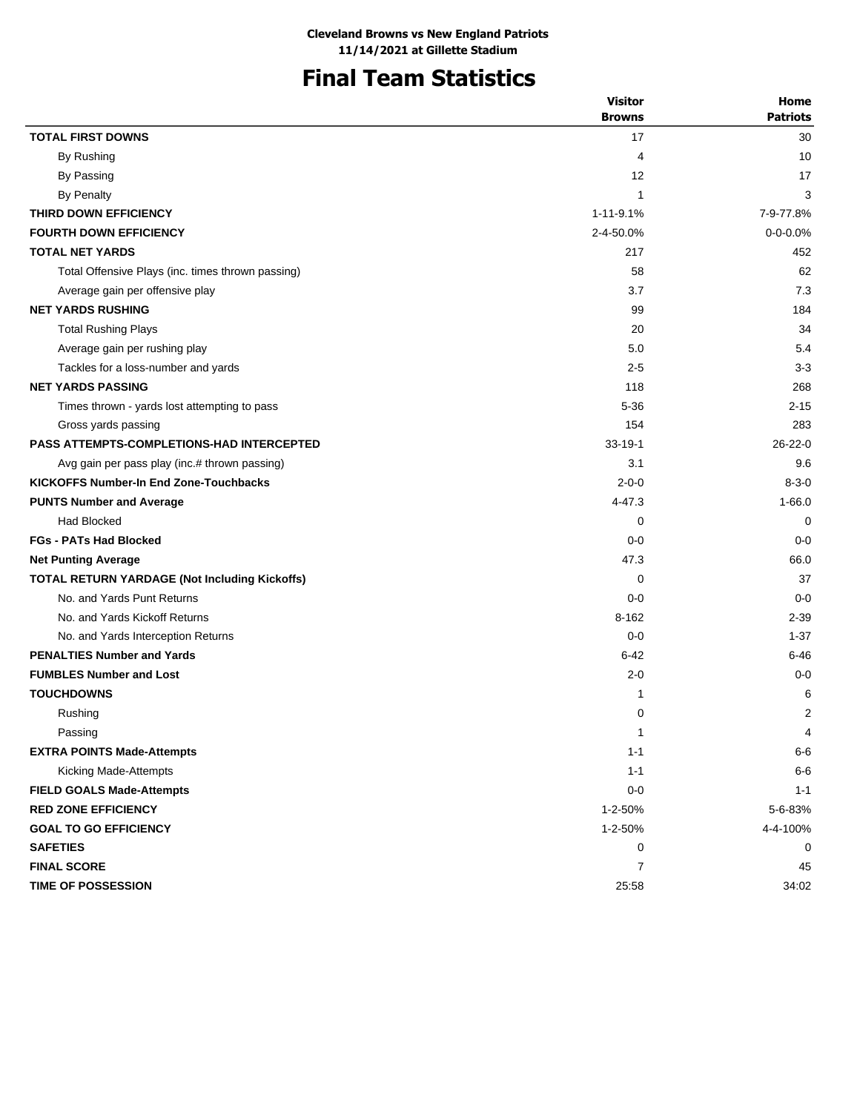# **Final Team Statistics**

|                                                      | <b>Visitor</b> | Home            |
|------------------------------------------------------|----------------|-----------------|
|                                                      | <b>Browns</b>  | <b>Patriots</b> |
| <b>TOTAL FIRST DOWNS</b>                             | 17             | 30              |
| By Rushing                                           | 4              | 10              |
| By Passing                                           | 12             | 17              |
| <b>By Penalty</b>                                    | $\mathbf{1}$   | 3               |
| THIRD DOWN EFFICIENCY                                | 1-11-9.1%      | 7-9-77.8%       |
| <b>FOURTH DOWN EFFICIENCY</b>                        | 2-4-50.0%      | $0 - 0 - 0.0%$  |
| <b>TOTAL NET YARDS</b>                               | 217            | 452             |
| Total Offensive Plays (inc. times thrown passing)    | 58             | 62              |
| Average gain per offensive play                      | 3.7            | 7.3             |
| <b>NET YARDS RUSHING</b>                             | 99             | 184             |
| <b>Total Rushing Plays</b>                           | 20             | 34              |
| Average gain per rushing play                        | 5.0            | 5.4             |
| Tackles for a loss-number and yards                  | $2 - 5$        | $3 - 3$         |
| <b>NET YARDS PASSING</b>                             | 118            | 268             |
| Times thrown - yards lost attempting to pass         | $5 - 36$       | $2 - 15$        |
| Gross yards passing                                  | 154            | 283             |
| <b>PASS ATTEMPTS-COMPLETIONS-HAD INTERCEPTED</b>     | $33 - 19 - 1$  | $26 - 22 - 0$   |
| Avg gain per pass play (inc.# thrown passing)        | 3.1            | 9.6             |
| <b>KICKOFFS Number-In End Zone-Touchbacks</b>        | $2 - 0 - 0$    | $8 - 3 - 0$     |
| <b>PUNTS Number and Average</b>                      | 4-47.3         | $1 - 66.0$      |
| <b>Had Blocked</b>                                   | 0              | 0               |
| <b>FGs - PATs Had Blocked</b>                        | $0 - 0$        | $0 - 0$         |
| <b>Net Punting Average</b>                           | 47.3           | 66.0            |
| <b>TOTAL RETURN YARDAGE (Not Including Kickoffs)</b> | 0              | 37              |
| No. and Yards Punt Returns                           | $0 - 0$        | $0 - 0$         |
| No. and Yards Kickoff Returns                        | $8 - 162$      | $2 - 39$        |
| No. and Yards Interception Returns                   | $0 - 0$        | $1 - 37$        |
| <b>PENALTIES Number and Yards</b>                    | $6 - 42$       | $6 - 46$        |
| <b>FUMBLES Number and Lost</b>                       | $2 - 0$        | $0 - 0$         |
| <b>TOUCHDOWNS</b>                                    | 1              | 6               |
| Rushing                                              | 0              | 2               |
| Passing                                              | 1              | 4               |
| <b>EXTRA POINTS Made-Attempts</b>                    | $1 - 1$        | $6-6$           |
| Kicking Made-Attempts                                | $1 - 1$        | $6-6$           |
| <b>FIELD GOALS Made-Attempts</b>                     | $0 - 0$        | $1 - 1$         |
| <b>RED ZONE EFFICIENCY</b>                           | 1-2-50%        | 5-6-83%         |
| <b>GOAL TO GO EFFICIENCY</b>                         | 1-2-50%        | 4-4-100%        |
| <b>SAFETIES</b>                                      | 0              | 0               |
| <b>FINAL SCORE</b>                                   | 7              | 45              |
| <b>TIME OF POSSESSION</b>                            | 25:58          | 34:02           |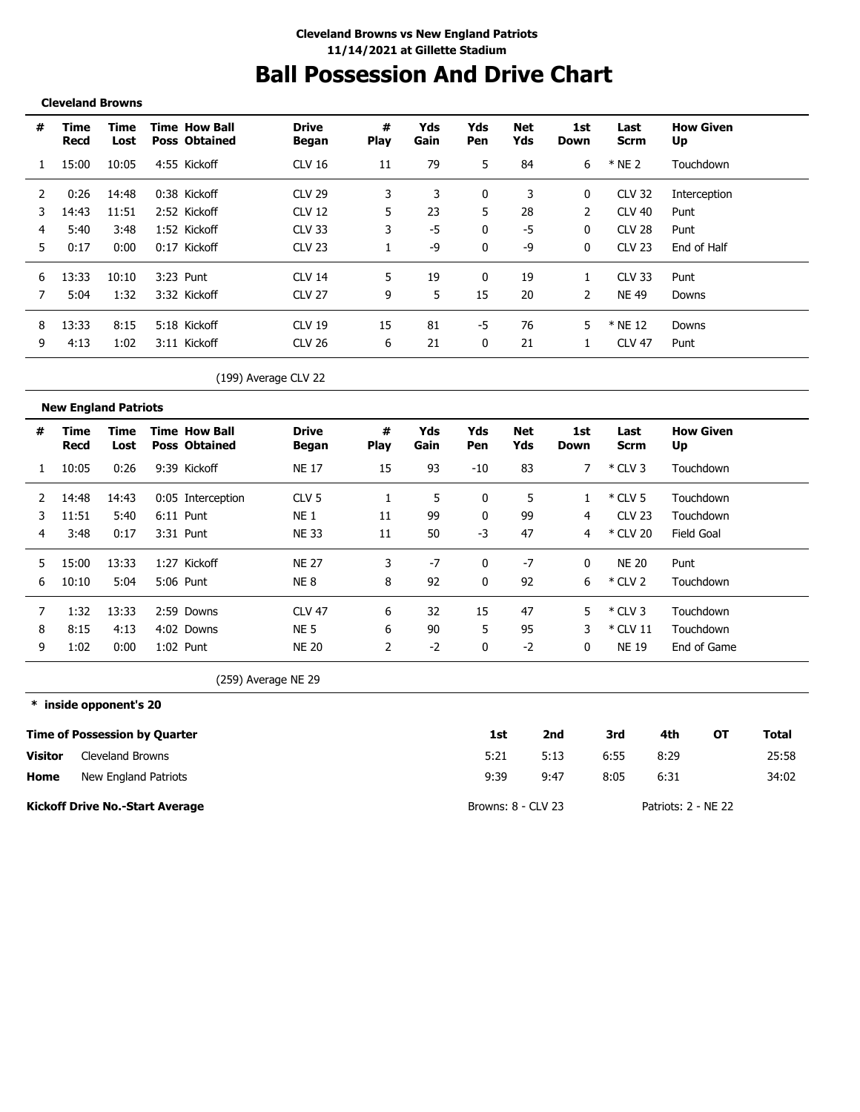# **Ball Possession And Drive Chart**

### **Cleveland Browns**

**New England Patriots**

| # | Time<br>Recd | Time<br>Lost | <b>Time How Ball</b><br><b>Poss Obtained</b> | <b>Drive</b><br>Began | #<br><b>Play</b> | Yds<br>Gain | Yds<br>Pen | Net<br>Yds | 1st<br>Down | Last<br>Scrm  | <b>How Given</b><br>Up |
|---|--------------|--------------|----------------------------------------------|-----------------------|------------------|-------------|------------|------------|-------------|---------------|------------------------|
|   | 15:00        | 10:05        | 4:55 Kickoff                                 | CLV 16                | 11               | 79          | 5.         | 84         | 6           | $*$ NE 2      | Touchdown              |
|   | 0:26         | 14:48        | 0:38 Kickoff                                 | CIV29                 |                  | 3           | 0          | 3          | 0           | <b>CLV 32</b> | Interception           |
|   | 14:43        | 11:51        | 2:52 Kickoff                                 | CLV 12                | 5                | 23          | 5          | 28         | 2           | CLV 40        | Punt                   |
| 4 | 5:40         | 3:48         | 1:52 Kickoff                                 | <b>CLV 33</b>         | 3                | -5          | 0          | -5         | 0           | <b>CLV 28</b> | Punt                   |
| 5 | 0:17         | 0:00         | 0:17 Kickoff                                 | <b>CLV 23</b>         |                  | -9          | 0          | -9         | 0           | CLV 23        | End of Half            |
| 6 | 13:33        | 10:10        | 3:23 Punt                                    | CLV <sub>14</sub>     | 5.               | 19          | 0          | 19         |             | <b>CLV 33</b> | Punt                   |
|   | 5:04         | 1:32         | 3:32 Kickoff                                 | CLV 27                | 9                | 5           | 15         | 20         | 2           | <b>NE 49</b>  | Downs                  |
| 8 | 13:33        | 8:15         | 5:18 Kickoff                                 | $CLV$ 19              | 15               | 81          | -5         | 76         | 5           | * NE 12       | Downs                  |
| 9 | 4:13         | 1:02         | 3:11 Kickoff                                 | CLV 26                | 6                | 21          | 0          | 21         |             | <b>CLV 47</b> | Punt                   |

(199) Average CLV 22

|    | new Engiana i autoco |              |                                              |                       |                  |             |            |            |              |                     |                        |
|----|----------------------|--------------|----------------------------------------------|-----------------------|------------------|-------------|------------|------------|--------------|---------------------|------------------------|
| #  | Time<br>Recd         | Time<br>Lost | <b>Time How Ball</b><br><b>Poss Obtained</b> | <b>Drive</b><br>Began | #<br><b>Play</b> | Yds<br>Gain | Yds<br>Pen | Net<br>Yds | 1st<br>Down  | Last<br><b>Scrm</b> | <b>How Given</b><br>Up |
|    | 10:05                | 0:26         | 9:39 Kickoff                                 | <b>NE 17</b>          | 15               | 93          | $-10$      | 83         |              | $*$ CLV 3           | Touchdown              |
|    | 14:48                | 14:43        | 0:05 Interception                            | CLV <sub>5</sub>      |                  | 5           | 0          | 5          |              | $*$ CLV 5           | Touchdown              |
| 3  | 11:51                | 5:40         | 6:11 Punt                                    | <b>NE 1</b>           | 11               | 99          | 0          | 99         | 4            | <b>CLV 23</b>       | Touchdown              |
| 4  | 3:48                 | 0:17         | 3:31 Punt                                    | <b>NE 33</b>          | 11               | 50          | $-3$       | 47         | 4            | * CLV 20            | Field Goal             |
| 5. | 15:00                | 13:33        | 1:27 Kickoff                                 | <b>NE 27</b>          | 3                | -7          | 0          | $-7$       | $\mathbf{0}$ | <b>NE 20</b>        | Punt                   |
| 6  | 10:10                | 5:04         | 5:06 Punt                                    | <b>NE8</b>            | 8                | 92          | 0          | 92         | 6.           | $*$ CLV 2           | Touchdown              |
|    | 1:32                 | 13:33        | 2:59 Downs                                   | <b>CLV 47</b>         | 6                | 32          | 15         | 47         | 5.           | $*$ CLV 3           | Touchdown              |
| 8  | 8:15                 | 4:13         | 4:02 Downs                                   | <b>NE 5</b>           | 6                | 90          | 5          | 95         | 3            | $*$ CLV 11          | Touchdown              |
| 9  | 1:02                 | 0:00         | 1:02 Punt                                    | <b>NE 20</b>          |                  | -2          | 0          | $-2$       | $\mathbf{0}$ | <b>NE 19</b>        | End of Game            |

(259) Average NE 29

**\* inside opponent's 20 Time of Possession by Quarter Home Visitor 1st 2nd 3rd 4th OT Total** 5:21 9:39 5:13 6:55 8:29 25:58 9:47 8:05 6:31 34:02 Cleveland Browns New England Patriots

**Kickoff Drive No.-Start Average**

Browns: 8 - CLV 23 Patriots: 2 - NE 22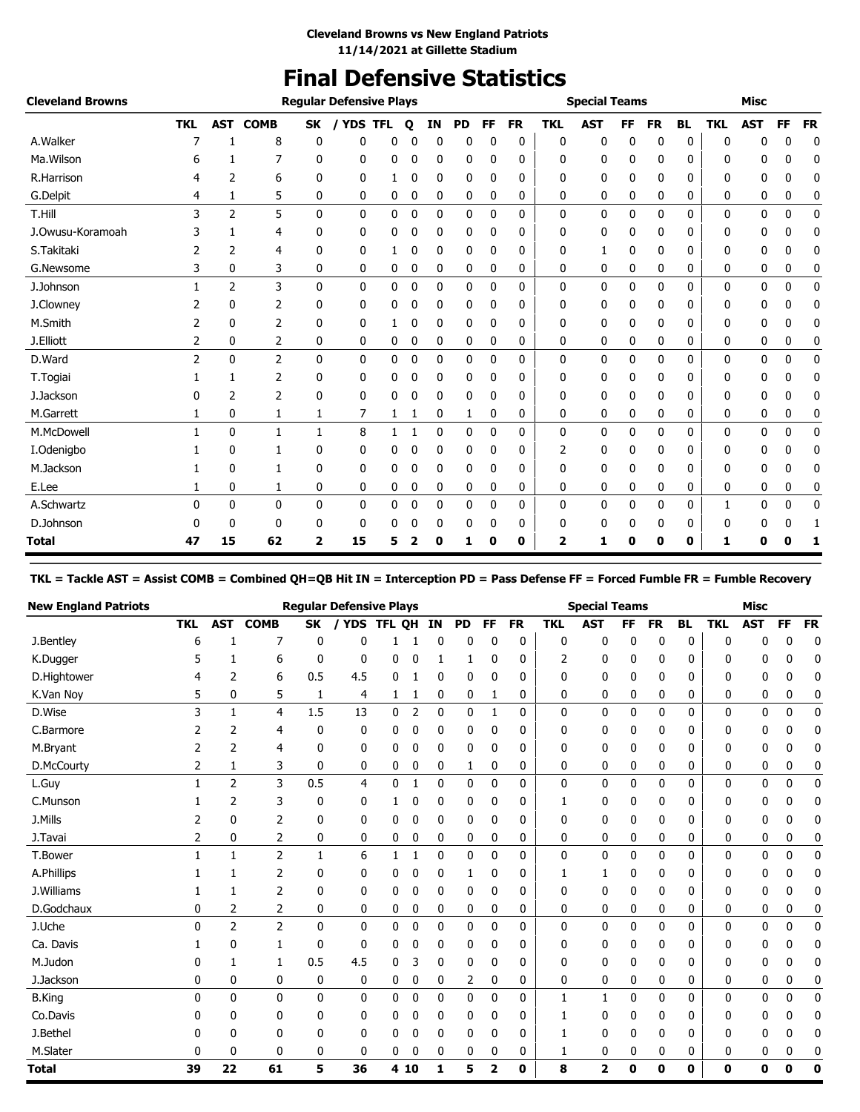# **Final Defensive Statistics**

| <b>Cleveland Browns</b> |            |                |              |                         | <b>Regular Defensive Plays</b> |   |              |    |    |    |           |            | <b>Special Teams</b> |           |           |           |            | <b>Misc</b> |    |           |
|-------------------------|------------|----------------|--------------|-------------------------|--------------------------------|---|--------------|----|----|----|-----------|------------|----------------------|-----------|-----------|-----------|------------|-------------|----|-----------|
|                         | <b>TKL</b> | AST            | <b>COMB</b>  | <b>SK</b>               | YDS TFL<br>$\prime$            |   | $\mathbf{o}$ | IN | PD | FF | <b>FR</b> | <b>TKL</b> | <b>AST</b>           | <b>FF</b> | <b>FR</b> | <b>BL</b> | <b>TKL</b> | <b>AST</b>  | FF | <b>FR</b> |
| A.Walker                |            |                | 8            | 0                       | 0                              | 0 | 0            | 0  | 0  | 0  | 0         | 0          | 0                    | 0         | 0         | 0         | 0          | n           | 0  | 0         |
| Ma. Wilson              | 6          |                | 7            | 0                       | 0                              | 0 | 0            | 0  | 0  | 0  | 0         | 0          | 0                    | 0         | 0         | 0         | n          | 0           | 0  | 0         |
| R.Harrison              | 4          | 2              | 6            | 0                       | 0                              | 1 | 0            | 0  | 0  | 0  | 0         | 0          | 0                    | 0         | 0         | 0         | 0          | 0           | 0  | 0         |
| G.Delpit                | 4          | 1              | 5            | 0                       | 0                              | 0 | 0            | 0  | 0  | 0  | 0         | 0          | 0                    | 0         | 0         | 0         | 0          | 0           | 0  | 0         |
| T.Hill                  | 3          | 2              | 5            | $\mathbf{0}$            | 0                              | 0 | 0            | 0  | 0  | 0  | 0         | 0          | 0                    | 0         | 0         | 0         | 0          | 0           | 0  | 0         |
| J.Owusu-Koramoah        |            | 1              | 4            | 0                       | 0                              | 0 | 0            | 0  | 0  | 0  | 0         | 0          | 0                    | 0         | 0         | 0         | 0          | 0           | n  | 0         |
| S.Takitaki              | 2          | 2              | 4            | 0                       | 0                              |   | 0            | 0  | 0  | 0  | 0         | 0          | 1                    | 0         | 0         | 0         | 0          | 0           | 0  | 0         |
| G.Newsome               | 3          | 0              | 3            | 0                       | 0                              | 0 | 0            | 0  | 0  | 0  | 0         | 0          | 0                    | 0         | 0         | 0         | 0          | 0           | 0  | 0         |
| J.Johnson               |            | $\overline{2}$ | 3            | 0                       | 0                              | 0 | 0            | 0  | 0  | 0  | 0         | 0          | 0                    | 0         | 0         | 0         | 0          | 0           | 0  | 0         |
| J.Clowney               |            | 0              | 2            | 0                       | 0                              | 0 | 0            | 0  | 0  | 0  | 0         | 0          | 0                    | 0         | 0         | 0         | 0          | 0           | 0  | 0         |
| M.Smith                 |            | 0              | 2            | 0                       | 0                              | 1 | 0            | 0  | 0  | 0  | 0         | 0          | 0                    | 0         | 0         | 0         | 0          | 0           | 0  | 0         |
| J.Elliott               | 2          | 0              | 2            | 0                       | 0                              | 0 | 0            | 0  | 0  | 0  | 0         | 0          | 0                    | 0         | 0         | 0         | 0          | 0           | 0  | 0         |
| D.Ward                  | 2          | 0              | 2            | $\mathbf{0}$            | 0                              | 0 | 0            | 0  | 0  | 0  | 0         | 0          | 0                    | 0         | 0         | 0         | 0          | 0           | 0  | 0         |
| T.Togiai                |            | 1              | 2            | 0                       | 0                              | 0 | 0            | 0  | 0  | 0  | 0         | 0          | 0                    | 0         | 0         | 0         | 0          | 0           | 0  | 0         |
| J.Jackson               |            | 2              | 2            | 0                       | 0                              | 0 | 0            | 0  | 0  | 0  | 0         | 0          | 0                    | 0         | 0         | 0         | 0          | 0           | 0  | 0         |
| M.Garrett               |            | 0              | 1            | 1                       | 7                              | 1 | 1            | 0  | 1  | 0  | 0         | 0          | 0                    | 0         | 0         | 0         | 0          | 0           | 0  | 0         |
| M.McDowell              |            | 0              | $\mathbf{1}$ | 1                       | 8                              | 1 | 1            | 0  | 0  | 0  | 0         | 0          | 0                    | 0         | 0         | 0         | 0          | 0           | 0  | 0         |
| I.Odenigbo              |            | 0              | 1            | 0                       | 0                              | 0 | 0            | 0  | 0  | 0  | 0         | 2          | 0                    | 0         | 0         | 0         | ŋ          | 0           | n  | 0         |
| M.Jackson               |            | $\Omega$       | 1            | 0                       | 0                              | 0 | 0            | 0  | 0  | 0  | 0         | 0          | 0                    | 0         | 0         | 0         | 0          | 0           | 0  | 0         |
| E.Lee                   |            | 0              | 1            | 0                       | 0                              | 0 | 0            | 0  | 0  | 0  | 0         | 0          | 0                    | 0         | 0         | 0         | 0          | 0           | 0  | 0         |
| A.Schwartz              | 0          | 0              | 0            | 0                       | 0                              | 0 | 0            | 0  | 0  | 0  | 0         | 0          | 0                    | 0         | 0         | 0         |            | 0           | 0  | 0         |
| D.Johnson               |            | 0              | 0            | 0                       | 0                              | 0 | 0            | 0  | 0  | 0  | 0         | 0          | 0                    | 0         | 0         | 0         | 0          | 0           | 0  | 1         |
| <b>Total</b>            | 47         | 15             | 62           | $\overline{\mathbf{2}}$ | 15                             | 5 |              | 0  | 1  | 0  | 0         | 2          | 1                    | ŋ         | 0         | 0         | 1          | 0           | 0  | 1         |

**TKL = Tackle AST = Assist COMB = Combined QH=QB Hit IN = Interception PD = Pass Defense FF = Forced Fumble FR = Fumble Recovery**

| <b>New England Patriots</b> |            |              |                |              | <b>Regular Defensive Plays</b> |        |             |    |    |    |           |              | <b>Special Teams</b> |           |           |           |            | <b>Misc</b> |    |           |
|-----------------------------|------------|--------------|----------------|--------------|--------------------------------|--------|-------------|----|----|----|-----------|--------------|----------------------|-----------|-----------|-----------|------------|-------------|----|-----------|
|                             | <b>TKL</b> | <b>AST</b>   | <b>COMB</b>    | <b>SK</b>    | <b>YDS</b>                     | TFL OH |             | IN | PD | FF | <b>FR</b> | <b>TKL</b>   | <b>AST</b>           | <b>FF</b> | <b>FR</b> | <b>BL</b> | <b>TKL</b> | <b>AST</b>  | FF | <b>FR</b> |
| J.Bentley                   | 6          |              |                | 0            | 0                              |        |             | 0  | 0  | 0  | 0         | 0            | 0                    | 0         | 0         | 0         | 0          | 0           | C  | 0         |
| K.Dugger                    | 5          |              | 6              | 0            | 0                              | 0      | 0           |    |    | 0  | 0         | 2            | 0                    | 0         | 0         | 0         | 0          | 0           | 0  | 0         |
| D.Hightower                 | 4          | 2            | 6              | 0.5          | 4.5                            | 0      | 1           | 0  | 0  | 0  | 0         | 0            | 0                    | 0         | 0         | 0         | 0          | 0           | 0  | 0         |
| K.Van Nov                   | 5          | 0            | 5              | 1            | 4                              | 1      | 1           | 0  | 0  | 1  | 0         | 0            | 0                    | 0         | 0         | 0         | 0          | 0           | 0  | 0         |
| D.Wise                      | 3          | $\mathbf{1}$ | $\overline{4}$ | 1.5          | 13                             | 0      | 2           | 0  | 0  | 1  | 0         | 0            | 0                    | 0         | 0         | 0         | 0          | 0           | 0  | 0         |
| C.Barmore                   |            | 2            | 4              | 0            | 0                              | 0      | 0           | 0  | 0  | 0  | 0         | 0            | 0                    | 0         | 0         | 0         | 0          | 0           |    | 0         |
| M.Bryant                    |            | 2            | 4              | 0            | 0                              | 0      | 0           | 0  | 0  | 0  | 0         | 0            | 0                    | 0         | 0         | 0         | 0          | 0           | 0  | 0         |
| D.McCourty                  | 2          | 1            | 3              | 0            | 0                              | 0      | 0           | 0  | 1  | 0  | 0         | 0            | 0                    | 0         | 0         | 0         | 0          | 0           | 0  | 0         |
| L.Guy                       |            | 2            | 3              | 0.5          | 4                              | 0      | 1           | 0  | 0  | 0  | 0         | 0            | 0                    | 0         | 0         | 0         | 0          | 0           | 0  | 0         |
| C.Munson                    |            | 2            | 3              | 0            | 0                              |        | 0           | 0  | 0  | 0  | 0         | 1            | 0                    | 0         | 0         | 0         | 0          | 0           | n  | 0         |
| J.Mills                     |            | 0            | 2              | 0            | 0                              | 0      | 0           | 0  | 0  | 0  | 0         | 0            | 0                    | 0         | 0         | 0         | 0          | 0           | 0  | 0         |
| J.Tavai                     | 2          | 0            | 2              | 0            | 0                              | 0      | 0           | 0  | 0  | 0  | 0         | 0            | 0                    | 0         | 0         | 0         | 0          | 0           | 0  | 0         |
| T.Bower                     |            | 1            | $\overline{2}$ | 1            | 6                              | 1      | 1           | 0  | 0  | 0  | 0         | 0            | 0                    | 0         | 0         | 0         | 0          | 0           | 0  | 0         |
| A.Phillips                  |            |              | 2              | 0            | 0                              | 0      | 0           | 0  |    | 0  | 0         | 1            | 1                    | 0         | 0         | 0         | 0          | 0           |    | 0         |
| J.Williams                  |            |              | 2              | 0            | 0                              | 0      | 0           | 0  | 0  | 0  | 0         | 0            | 0                    | 0         | 0         | 0         | 0          | 0           | 0  | 0         |
| D.Godchaux                  | 0          | 2            | 2              | 0            | 0                              | 0      | 0           | 0  | 0  | 0  | 0         | 0            | 0                    | 0         | 0         | 0         | 0          | 0           | 0  | 0         |
| J.Uche                      | 0          | 2            | $\overline{2}$ | $\mathbf{0}$ | 0                              | 0      | 0           | 0  | 0  | 0  | 0         | $\mathbf{0}$ | 0                    | 0         | 0         | 0         | $\Omega$   | 0           | 0  | 0         |
| Ca. Davis                   |            | 0            |                | 0            | 0                              | 0      | 0           | 0  | 0  | 0  | 0         | 0            | 0                    | 0         | 0         | 0         | 0          | 0           | U  | 0         |
| M.Judon                     | 0          | 1            | 1              | 0.5          | 4.5                            | 0      | 3           | 0  | 0  | 0  | 0         | 0            | 0                    | 0         | 0         | 0         | 0          | 0           | 0  | 0         |
| J.Jackson                   | 0          | 0            | 0              | 0            | 0                              | 0      | 0           | 0  | 2  | 0  | 0         | 0            | 0                    | 0         | 0         | 0         | 0          | 0           | 0  | 0         |
| <b>B.King</b>               | 0          | 0            | $\mathbf{0}$   | $\mathbf{0}$ | 0                              | 0      | $\mathbf 0$ | 0  | 0  | 0  | 0         | $\mathbf{1}$ | $\mathbf{1}$         | 0         | 0         | 0         | 0          | 0           | 0  | 0         |
| Co.Davis                    | 0          | 0            | 0              | 0            | 0                              | 0      | 0           | 0  | 0  | 0  | 0         | 1            | 0                    | 0         | 0         | 0         | 0          | 0           |    | 0         |
| J.Bethel                    | 0          | 0            | 0              | 0            | 0                              | 0      | 0           | 0  | 0  | 0  | 0         | 1            | 0                    | 0         | 0         | 0         | 0          | 0           | 0  | 0         |
| M.Slater                    | 0          | 0            | 0              | 0            | 0                              | 0      | 0           | 0  | 0  | 0  | 0         | 1            | 0                    | 0         | 0         | 0         | 0          | 0           | 0  | 0         |
| <b>Total</b>                | 39         | 22           | 61             | 5            | 36                             |        | 4 10        | 1  | 5  | 2  | 0         | 8            | 2                    | 0         | 0         | 0         | 0          | 0           | 0  | 0         |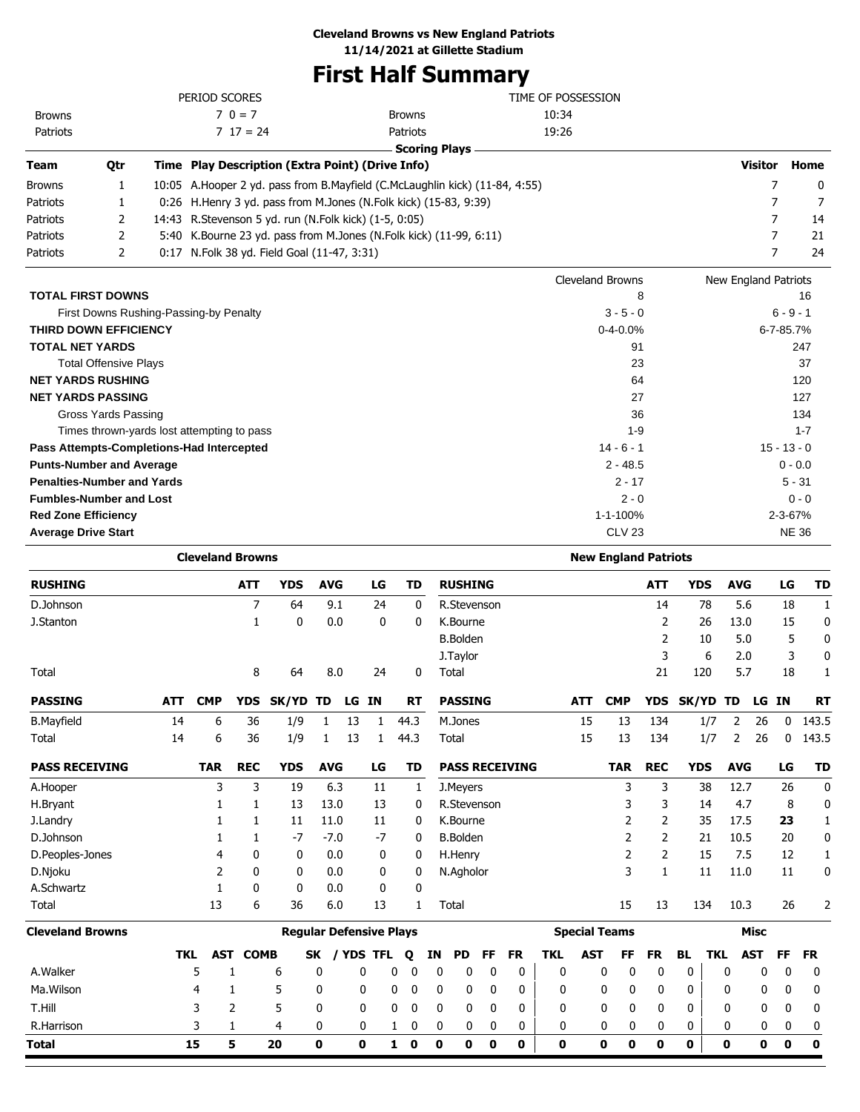# **First Half Summary**

|                              |                              |      | PERIOD SCORES                                           |                                                                                | TIME OF POSSESSION      |                      |               |
|------------------------------|------------------------------|------|---------------------------------------------------------|--------------------------------------------------------------------------------|-------------------------|----------------------|---------------|
| <b>Browns</b>                |                              |      | $70 = 7$                                                | <b>Browns</b>                                                                  | 10:34                   |                      |               |
| Patriots                     |                              |      | $7 \t17 = 24$                                           | Patriots                                                                       | 19:26                   |                      |               |
|                              |                              |      |                                                         | <b>Scoring Plays</b>                                                           |                         |                      |               |
| Team                         | Qtr                          |      | Time Play Description (Extra Point) (Drive Info)        |                                                                                |                         | Visitor              | Home          |
| <b>Browns</b>                | 1                            |      |                                                         | 10:05 A. Hooper 2 yd. pass from B. Mayfield (C. McLaughlin kick) (11-84, 4:55) |                         |                      | 0             |
| Patriots                     |                              |      |                                                         | 0:26 H.Henry 3 yd. pass from M.Jones (N.Folk kick) (15-83, 9:39)               |                         |                      |               |
| Patriots                     | 2                            |      | 14:43 R. Stevenson 5 yd. run (N. Folk kick) (1-5, 0:05) |                                                                                |                         | 7                    | 14            |
| Patriots                     | 2                            |      |                                                         | 5:40 K.Bourne 23 yd. pass from M.Jones (N.Folk kick) (11-99, 6:11)             |                         |                      | 21            |
| Patriots                     | 2                            | 0:17 | N.Folk 38 yd. Field Goal (11-47, 3:31)                  |                                                                                |                         |                      | 24            |
|                              |                              |      |                                                         |                                                                                | <b>Cleveland Browns</b> | New England Patriots |               |
| <b>TOTAL FIRST DOWNS</b>     |                              |      |                                                         |                                                                                | 8                       |                      | 16            |
|                              |                              |      | First Downs Rushing-Passing-by Penalty                  |                                                                                | $3 - 5 - 0$             |                      | $6 - 9 - 1$   |
| <b>THIRD DOWN EFFICIENCY</b> |                              |      |                                                         |                                                                                | $0 - 4 - 0.0%$          |                      | 6-7-85.7%     |
| <b>TOTAL NET YARDS</b>       |                              |      |                                                         |                                                                                | 91                      |                      | 247           |
|                              | <b>Total Offensive Plays</b> |      |                                                         |                                                                                | 23                      |                      | 37            |
| <b>NET YARDS RUSHING</b>     |                              |      |                                                         |                                                                                | 64                      |                      | 120           |
| <b>NET YARDS PASSING</b>     |                              |      |                                                         |                                                                                | 27                      |                      | 127           |
|                              | Gross Yards Passing          |      |                                                         |                                                                                | 36                      |                      | 134           |
|                              |                              |      | Times thrown-yards lost attempting to pass              |                                                                                | $1 - 9$                 |                      | $1 - 7$       |
|                              |                              |      | Pass Attempts-Completions-Had Intercepted               |                                                                                | $14 - 6 - 1$            |                      | $15 - 13 - 0$ |

| <b>Punts-Number and Average</b>   | $2 - 48.5$     | $0 - 0.0$ |
|-----------------------------------|----------------|-----------|
| <b>Penalties-Number and Yards</b> | 2 - 17         | $5 - 31$  |
| <b>Fumbles-Number and Lost</b>    | $2 - 0$        | 0 - 0     |
| <b>Red Zone Efficiency</b>        | $1 - 1 - 100%$ | 2-3-67%   |
|                                   |                |           |

| <b>Average Drive Start</b> | CLV <sub>23</sub><br>$\sim$ $\sim$ | <b>NE 36</b> |
|----------------------------|------------------------------------|--------------|
|                            |                                    |              |

|                         |            | <b>Cleveland Browns</b> |             |                                |             |     |           |              |              |          |                 |             |                       | <b>New England Patriots</b> |            |                      |            |              |            |            |             |             |              |
|-------------------------|------------|-------------------------|-------------|--------------------------------|-------------|-----|-----------|--------------|--------------|----------|-----------------|-------------|-----------------------|-----------------------------|------------|----------------------|------------|--------------|------------|------------|-------------|-------------|--------------|
| <b>RUSHING</b>          |            |                         | <b>ATT</b>  | <b>YDS</b>                     | <b>AVG</b>  |     | LG        |              | TD           |          | <b>RUSHING</b>  |             |                       |                             |            |                      | <b>ATT</b> | <b>YDS</b>   |            | <b>AVG</b> |             | LG          | <b>TD</b>    |
| D.Johnson               |            |                         | 7           | 64                             |             | 9.1 | 24        |              | 0            |          | R.Stevenson     |             |                       |                             |            |                      | 14         | 78           |            | 5.6        |             | 18          | $\mathbf{1}$ |
| J.Stanton               |            |                         | 1           | 0                              |             | 0.0 | 0         |              | 0            |          | K.Bourne        |             |                       |                             |            |                      | 2          | 26           |            | 13.0       |             | 15          | 0            |
|                         |            |                         |             |                                |             |     |           |              |              |          | <b>B.Bolden</b> |             |                       |                             |            |                      | 2          | 10           |            | 5.0        |             | 5           | 0            |
|                         |            |                         |             |                                |             |     |           |              |              |          | J. Taylor       |             |                       |                             |            |                      | 3          | 6            |            | 2.0        |             | 3           | 0            |
| Total                   |            |                         | 8           | 64                             | 8.0         |     | 24        |              | 0            |          | Total           |             |                       |                             |            |                      | 21         | 120          |            | 5.7        |             | 18          | 1            |
| <b>PASSING</b>          | <b>ATT</b> | <b>CMP</b>              | <b>YDS</b>  | SK/YD                          | TD          | LG  | IN        |              | <b>RT</b>    |          | <b>PASSING</b>  |             |                       |                             | <b>ATT</b> | <b>CMP</b>           | <b>YDS</b> | <b>SK/YD</b> |            | TD         | LG IN       |             | <b>RT</b>    |
| <b>B.Mayfield</b>       | 14         | 6                       | 36          | 1/9                            | 1           | 13  | 1         | 44.3         |              |          | M.Jones         |             |                       |                             | 15         | 13                   | 134        | 1/7          |            | 2          | 26          | 0           | 143.5        |
| Total                   | 14         | 6                       | 36          | 1/9                            | 1           | 13  | 1         | 44.3         |              |          | Total           |             |                       |                             | 15         | 13                   | 134        | 1/7          |            | 2          | 26          | 0           | 143.5        |
| <b>PASS RECEIVING</b>   |            | <b>TAR</b>              | <b>REC</b>  | <b>YDS</b>                     | <b>AVG</b>  |     | LG        |              | TD           |          |                 |             | <b>PASS RECEIVING</b> |                             |            | <b>TAR</b>           | <b>REC</b> | <b>YDS</b>   |            | <b>AVG</b> |             | LG          | <b>TD</b>    |
| A.Hooper                |            | 3                       | 3           | 19                             | 6.3         |     | 11        |              | 1            |          | J.Meyers        |             |                       |                             |            | 3                    | 3          | 38           |            | 12.7       |             | 26          | 0            |
| H.Bryant                |            |                         | 1           | 13                             | 13.0        |     | 13        |              | 0            |          | R.Stevenson     |             |                       |                             |            | 3                    | 3          | 14           |            | 4.7        |             | 8           | 0            |
| J.Landry                |            |                         | 1           | 11                             | 11.0        |     | 11        |              | 0            |          | K.Bourne        |             |                       |                             |            | 2                    | 2          | 35           |            | 17.5       |             | 23          | $\mathbf{1}$ |
| D.Johnson               |            |                         | 1           | $-7$                           | $-7.0$      |     | $-7$      |              | 0            |          | <b>B.Bolden</b> |             |                       |                             |            | 2                    | 2          | 21           |            | 10.5       |             | 20          | 0            |
| D.Peoples-Jones         |            | 4                       | 0           | 0                              | 0.0         |     | 0         |              | 0            |          | H.Henry         |             |                       |                             |            | 2                    | 2          | 15           |            | 7.5        |             | 12          | 1            |
| D.Njoku                 |            | 2                       | 0           | 0                              | 0.0         |     | 0         |              | 0            |          | N.Agholor       |             |                       |                             |            | 3                    | 1          | 11           |            | 11.0       |             | 11          | 0            |
| A.Schwartz              |            | 1                       | 0           | 0                              | 0.0         |     | 0         |              | 0            |          |                 |             |                       |                             |            |                      |            |              |            |            |             |             |              |
| Total                   |            | 13                      | 6           | 36                             |             | 6.0 | 13        |              | $\mathbf{1}$ |          | Total           |             |                       |                             |            | 15                   | 13         | 134          |            | 10.3       |             | 26          | 2            |
| <b>Cleveland Browns</b> |            |                         |             | <b>Reqular Defensive Plays</b> |             |     |           |              |              |          |                 |             |                       |                             |            | <b>Special Teams</b> |            |              |            |            | <b>Misc</b> |             |              |
|                         | <b>TKL</b> | <b>AST</b>              | <b>COMB</b> |                                | SK          |     | / YDS TFL | Q            |              | ΙN       | PD              | FF          | <b>FR</b>             | <b>TKL</b>                  | <b>AST</b> | FF                   | <b>FR</b>  | <b>BL</b>    | <b>TKL</b> | <b>AST</b> |             | FF          | <b>FR</b>    |
| A.Walker                |            | 5                       |             | 6                              | 0           |     | 0         | 0            | $\mathbf{0}$ | 0        | 0               | 0           | 0                     | 0                           |            | 0<br>0               | 0          | 0            | 0          |            | 0           | 0           | 0            |
| Ma. Wilson              |            | 4                       | 1           | 5                              | 0           |     | 0         | 0            | 0            | 0        | 0               | 0           | 0                     | 0                           |            | 0<br>0               | 0          | 0            | 0          |            | 0           | 0           | 0            |
| T.Hill                  |            | 3                       | 2           | 5                              | 0           |     | 0         | 0            | 0            | 0        | 0               | 0           | 0                     | 0                           |            | 0<br>0               | 0          | 0            | 0          |            | 0           | 0           | 0            |
| R.Harrison              |            | 3                       | 1           | 4                              | 0           |     | 0         | $\mathbf{1}$ | 0            | 0        | 0               | 0           | 0                     | 0                           |            | 0<br>0               | 0          | 0            | 0          |            | 0           | 0           | 0            |
| Total                   |            | 15                      | 5           | 20                             | $\mathbf 0$ |     | O         | 1            | 0            | $\bf{0}$ | 0               | $\mathbf 0$ | 0                     | $\bf{0}$                    |            | $\mathbf{0}$<br>O    | 0          | $\mathbf{0}$ | $\bf{0}$   |            | O           | $\mathbf 0$ | $\mathbf 0$  |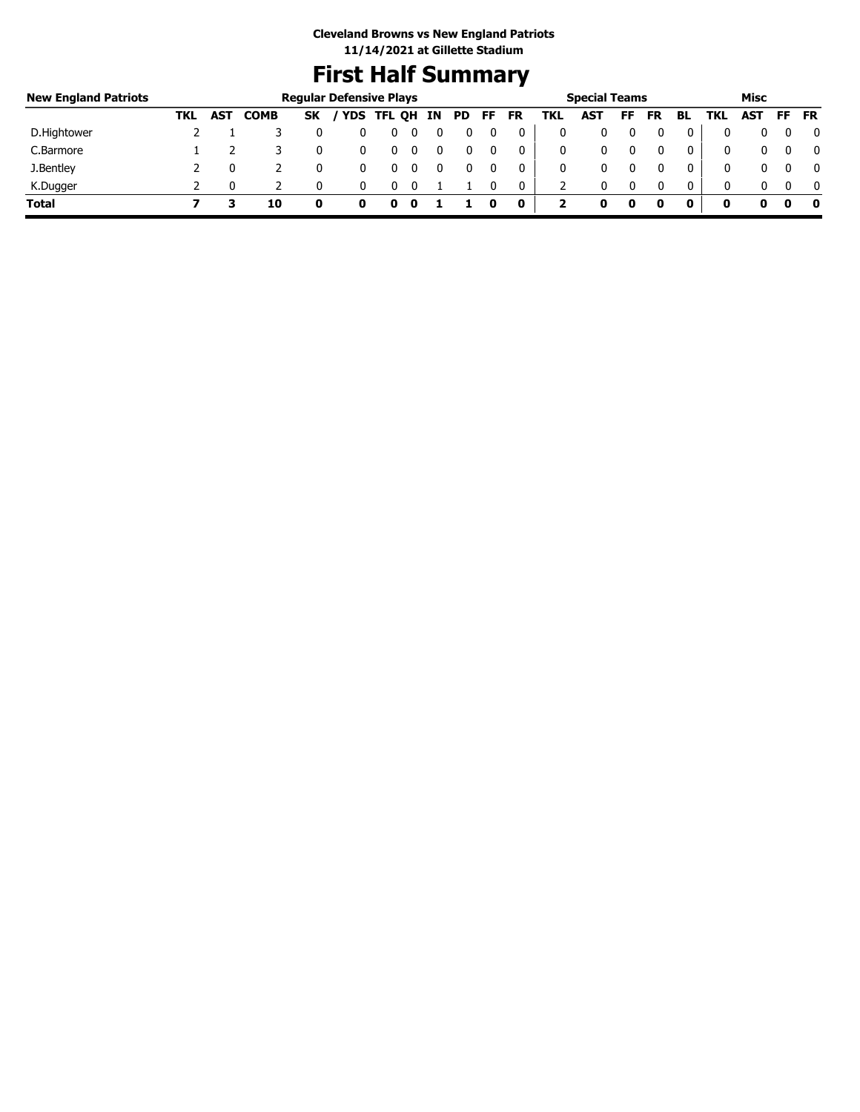# **First Half Summary**

| <b>New England Patriots</b> |     |            |             |    | <b>Regular Defensive Plays</b> |        |    |     |     |           |     | <b>Special Teams</b> |    |           |              |              | Misc |     |           |
|-----------------------------|-----|------------|-------------|----|--------------------------------|--------|----|-----|-----|-----------|-----|----------------------|----|-----------|--------------|--------------|------|-----|-----------|
|                             | TKL | <b>AST</b> | <b>COMB</b> | SK | / YDS                          | TFL OH | IN | PD. | FF. | <b>FR</b> | TKL | AST                  | FF | <b>FR</b> | BL           | TKL          | AST  | FF. | <b>FR</b> |
| D.Hightower                 |     |            |             |    |                                |        |    |     |     |           |     |                      |    |           |              |              |      |     | 0         |
| C.Barmore                   |     |            |             |    |                                |        |    |     |     | 0         |     | 0                    |    |           | 0            | $\mathbf{0}$ |      |     | 0         |
| J.Bentley                   |     |            |             |    |                                |        |    |     |     | 0         |     |                      |    |           | 0            | 0            |      |     | 0         |
| K.Dugger                    |     |            |             |    |                                |        |    |     |     | 0         |     | 0                    |    | $\Omega$  | $\mathbf{0}$ | 0            |      |     | 0         |
| <b>Total</b>                |     |            | 10          | o  | o                              | 0      |    |     |     | 0         |     |                      | 0  |           | 0            | 0            |      |     | - 0       |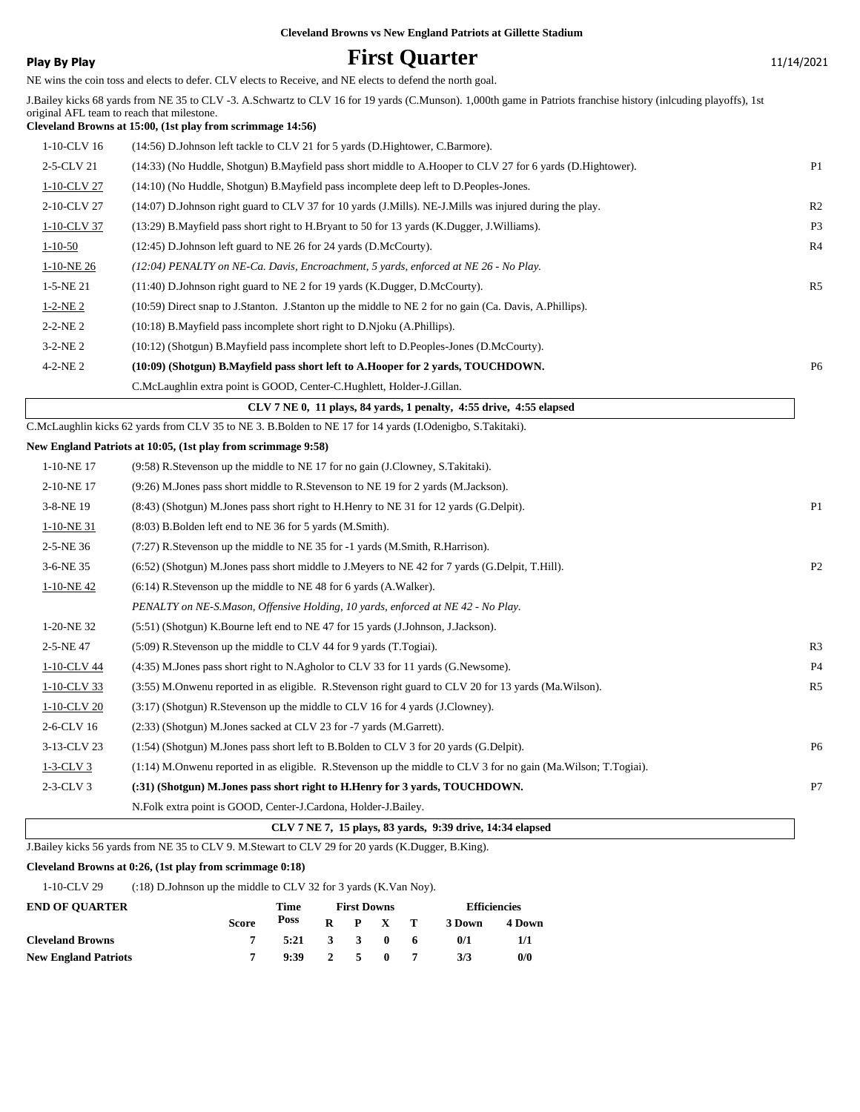**Play By Play Play Play Play First Quarter** 11/14/2021

NE wins the coin toss and elects to defer. CLV elects to Receive, and NE elects to defend the north goal.

|                | whis the com toss and creets to derer. CEV creets to receive, and TVE creets to dereing the north goal.                                                                                                                                                                      |                |
|----------------|------------------------------------------------------------------------------------------------------------------------------------------------------------------------------------------------------------------------------------------------------------------------------|----------------|
|                | J.Bailey kicks 68 yards from NE 35 to CLV -3. A.Schwartz to CLV 16 for 19 yards (C.Munson). 1,000th game in Patriots franchise history (inlcuding playoffs), 1st<br>original AFL team to reach that milestone.<br>Cleveland Browns at 15:00, (1st play from scrimmage 14:56) |                |
| 1-10-CLV 16    | (14:56) D.Johnson left tackle to CLV 21 for 5 yards (D.Hightower, C.Barmore).                                                                                                                                                                                                |                |
| 2-5-CLV 21     | (14:33) (No Huddle, Shotgun) B. Mayfield pass short middle to A. Hooper to CLV 27 for 6 yards (D. Hightower).                                                                                                                                                                | P <sub>1</sub> |
| 1-10-CLV 27    | (14:10) (No Huddle, Shotgun) B. Mayfield pass incomplete deep left to D. Peoples-Jones.                                                                                                                                                                                      |                |
| 2-10-CLV 27    | (14:07) D.Johnson right guard to CLV 37 for 10 yards (J.Mills). NE-J.Mills was injured during the play.                                                                                                                                                                      | R <sub>2</sub> |
| 1-10-CLV 37    | (13:29) B.Mayfield pass short right to H.Bryant to 50 for 13 yards (K.Dugger, J.Williams).                                                                                                                                                                                   | P <sub>3</sub> |
| $1 - 10 - 50$  | (12:45) D.Johnson left guard to NE 26 for 24 yards (D.McCourty).                                                                                                                                                                                                             | R4             |
| $1-10-NE$ 26   | (12:04) PENALTY on NE-Ca. Davis, Encroachment, 5 yards, enforced at NE 26 - No Play.                                                                                                                                                                                         |                |
| $1-5-NE$ 21    | (11:40) D.Johnson right guard to NE 2 for 19 yards (K.Dugger, D.McCourty).                                                                                                                                                                                                   | R <sub>5</sub> |
| $1-2-NE2$      | (10:59) Direct snap to J.Stanton. J.Stanton up the middle to NE 2 for no gain (Ca. Davis, A.Phillips).                                                                                                                                                                       |                |
| $2 - 2 - NE$ 2 | (10:18) B. Mayfield pass incomplete short right to D. Njoku (A. Phillips).                                                                                                                                                                                                   |                |
| $3-2-NE2$      | (10:12) (Shotgun) B.Mayfield pass incomplete short left to D.Peoples-Jones (D.McCourty).                                                                                                                                                                                     |                |
| $4 - 2 - NE2$  | (10:09) (Shotgun) B.Mayfield pass short left to A.Hooper for 2 yards, TOUCHDOWN.                                                                                                                                                                                             | P <sub>6</sub> |
|                | C.McLaughlin extra point is GOOD, Center-C.Hughlett, Holder-J.Gillan.                                                                                                                                                                                                        |                |
|                | CLV 7 NE 0, 11 plays, 84 yards, 1 penalty, 4:55 drive, 4:55 elapsed                                                                                                                                                                                                          |                |
|                | C.McLaughlin kicks 62 yards from CLV 35 to NE 3. B.Bolden to NE 17 for 14 yards (I.Odenigbo, S.Takitaki).                                                                                                                                                                    |                |
|                | New England Patriots at 10:05, (1st play from scrimmage 9:58)                                                                                                                                                                                                                |                |
| 1-10-NE 17     | $(9.58)$ R. Stevenson up the middle to NE 17 for no gain (J. Clowney, S. Takitaki).                                                                                                                                                                                          |                |
| 2-10-NE17      | (9:26) M.Jones pass short middle to R.Stevenson to NE 19 for 2 yards (M.Jackson).                                                                                                                                                                                            |                |
| 3-8-NE 19      | (8:43) (Shotgun) M.Jones pass short right to H.Henry to NE 31 for 12 yards (G.Delpit).                                                                                                                                                                                       | P <sub>1</sub> |
| $1-10-NE$ 31   | (8:03) B. Bolden left end to NE 36 for 5 yards (M. Smith).                                                                                                                                                                                                                   |                |
| 2-5-NE 36      | $(7.27)$ R. Stevenson up the middle to NE 35 for -1 yards (M. Smith, R. Harrison).                                                                                                                                                                                           |                |
| 3-6-NE 35      | (6.52) (Shotgun) M.Jones pass short middle to J.Meyers to NE 42 for 7 yards (G.Delpit, T.Hill).                                                                                                                                                                              | P2             |
| $1-10-NE$ 42   | $(6:14)$ R.Stevenson up the middle to NE 48 for 6 yards $(A.Waller)$ .                                                                                                                                                                                                       |                |
|                | PENALTY on NE-S.Mason, Offensive Holding, 10 yards, enforced at NE 42 - No Play.                                                                                                                                                                                             |                |
| 1-20-NE 32     | (5:51) (Shotgun) K.Bourne left end to NE 47 for 15 yards (J.Johnson, J.Jackson).                                                                                                                                                                                             |                |
| 2-5-NE 47      | (5:09) R. Stevenson up the middle to CLV 44 for 9 yards (T. Togiai).                                                                                                                                                                                                         | R <sub>3</sub> |
| 1-10-CLV 44    | (4:35) M.Jones pass short right to N.Agholor to CLV 33 for 11 yards (G.Newsome).                                                                                                                                                                                             | <b>P4</b>      |
| $1-10$ -CLV 33 | (3:55) M.Onwenu reported in as eligible. R.Stevenson right guard to CLV 20 for 13 yards (Ma.Wilson).                                                                                                                                                                         | R5             |
| $1-10$ -CLV 20 | $(3.17)$ (Shotgun) R.Stevenson up the middle to CLV 16 for 4 yards (J.Clowney).                                                                                                                                                                                              |                |
| 2-6-CLV 16     | (2:33) (Shotgun) M.Jones sacked at CLV 23 for -7 yards (M.Garrett).                                                                                                                                                                                                          |                |
| 3-13-CLV 23    | (1:54) (Shotgun) M.Jones pass short left to B.Bolden to CLV 3 for 20 yards (G.Delpit).                                                                                                                                                                                       | P <sub>6</sub> |
| $1-3$ -CLV $3$ | (1:14) M.Onwenu reported in as eligible. R.Stevenson up the middle to CLV 3 for no gain (Ma.Wilson; T.Togiai).                                                                                                                                                               |                |
| $2-3-CLV3$     | (:31) (Shotgun) M.Jones pass short right to H.Henry for 3 yards, TOUCHDOWN.                                                                                                                                                                                                  | P7             |
|                | N.Folk extra point is GOOD, Center-J.Cardona, Holder-J.Bailey.                                                                                                                                                                                                               |                |

## **CLV 7 NE 7, 15 plays, 83 yards, 9:39 drive, 14:34 elapsed**

J.Bailey kicks 56 yards from NE 35 to CLV 9. M.Stewart to CLV 29 for 20 yards (K.Dugger, B.King).

## **Cleveland Browns at 0:26, (1st play from scrimmage 0:18)**

1-10-CLV 29 (:18) D.Johnson up the middle to CLV 32 for 3 yards (K.Van Noy).

| <b>END OF OUARTER</b>       |              | Time |       | <b>First Downs</b> |                 |     | <b>Efficiencies</b> |        |  |
|-----------------------------|--------------|------|-------|--------------------|-----------------|-----|---------------------|--------|--|
|                             | <b>Score</b> | Poss |       |                    | $R$ $P$ $X$ $T$ |     | 3 Down              | 4 Down |  |
| <b>Cleveland Browns</b>     |              | 5:21 | 3 3 0 |                    |                 | - 6 | 0/1                 | 1/1    |  |
| <b>New England Patriots</b> |              | 9:39 |       | 2 5 0              |                 |     | 3/3                 | 0/0    |  |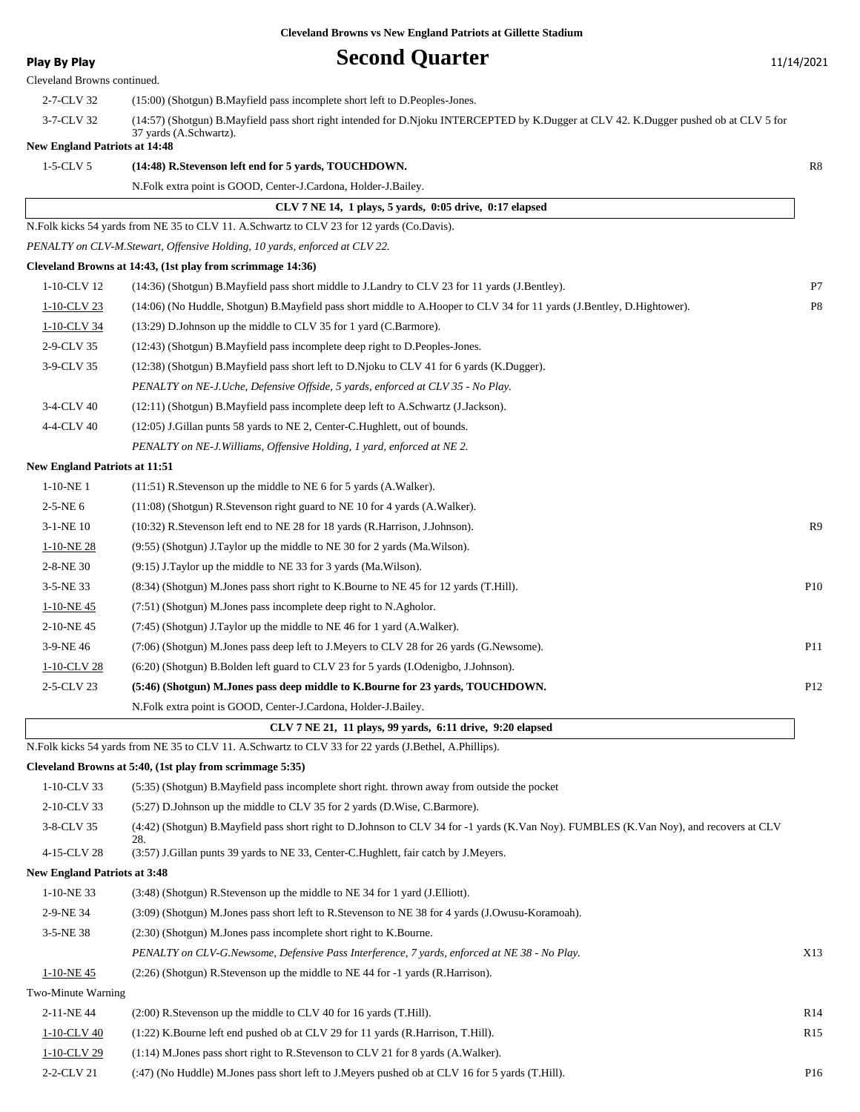| <b>Play By Play</b>                  | <b>Second Quarter</b>                                                                                                                  | 11/14/2021      |
|--------------------------------------|----------------------------------------------------------------------------------------------------------------------------------------|-----------------|
| Cleveland Browns continued.          |                                                                                                                                        |                 |
| 2-7-CLV 32                           | (15:00) (Shotgun) B.Mayfield pass incomplete short left to D.Peoples-Jones.                                                            |                 |
| 3-7-CLV 32                           | (14:57) (Shotgun) B.Mayfield pass short right intended for D.Njoku INTERCEPTED by K.Dugger at CLV 42. K.Dugger pushed ob at CLV 5 for  |                 |
| <b>New England Patriots at 14:48</b> | 37 yards (A.Schwartz).                                                                                                                 |                 |
| $1-5$ -CLV 5                         | (14:48) R.Stevenson left end for 5 yards, TOUCHDOWN.                                                                                   | R8              |
|                                      | N.Folk extra point is GOOD, Center-J.Cardona, Holder-J.Bailey.                                                                         |                 |
|                                      | CLV 7 NE 14, 1 plays, 5 yards, 0:05 drive, 0:17 elapsed                                                                                |                 |
|                                      | N.Folk kicks 54 yards from NE 35 to CLV 11. A.Schwartz to CLV 23 for 12 yards (Co.Davis).                                              |                 |
|                                      | PENALTY on CLV-M.Stewart, Offensive Holding, 10 yards, enforced at CLV 22.                                                             |                 |
|                                      | Cleveland Browns at 14:43, (1st play from scrimmage 14:36)                                                                             |                 |
| 1-10-CLV 12                          | (14:36) (Shotgun) B. Mayfield pass short middle to J. Landry to CLV 23 for 11 yards (J. Bentley).                                      | P7              |
| 1-10-CLV 23                          | (14:06) (No Huddle, Shotgun) B. Mayfield pass short middle to A. Hooper to CLV 34 for 11 yards (J. Bentley, D. Hightower).             | P8              |
| 1-10-CLV 34                          | (13:29) D.Johnson up the middle to CLV 35 for 1 yard (C.Barmore).                                                                      |                 |
| 2-9-CLV 35                           | (12:43) (Shotgun) B.Mayfield pass incomplete deep right to D.Peoples-Jones.                                                            |                 |
| 3-9-CLV 35                           | (12:38) (Shotgun) B.Mayfield pass short left to D.Njoku to CLV 41 for 6 yards (K.Dugger).                                              |                 |
|                                      | PENALTY on NE-J.Uche, Defensive Offside, 5 yards, enforced at CLV 35 - No Play.                                                        |                 |
| 3-4-CLV 40                           | (12:11) (Shotgun) B.Mayfield pass incomplete deep left to A.Schwartz (J.Jackson).                                                      |                 |
| 4-4-CLV 40                           | (12:05) J. Gillan punts 58 yards to NE 2, Center-C. Hughlett, out of bounds.                                                           |                 |
|                                      | PENALTY on NE-J. Williams, Offensive Holding, 1 yard, enforced at NE 2.                                                                |                 |
| <b>New England Patriots at 11:51</b> |                                                                                                                                        |                 |
| $1-10-NE$ 1                          | $(11:51)$ R. Stevenson up the middle to NE 6 for 5 yards $(A.Walker)$ .                                                                |                 |
| $2-5-NE6$                            | (11:08) (Shotgun) R.Stevenson right guard to NE 10 for 4 yards (A.Walker).                                                             |                 |
| $3-1-NE$ 10                          | (10:32) R. Stevenson left end to NE 28 for 18 yards (R. Harrison, J. Johnson).                                                         | R9              |
| $1-10-NE$ 28                         | (9:55) (Shotgun) J.Taylor up the middle to NE 30 for 2 yards (Ma.Wilson).                                                              |                 |
| 2-8-NE 30                            | (9:15) J.Taylor up the middle to NE 33 for 3 yards (Ma.Wilson).                                                                        |                 |
| 3-5-NE 33                            | (8.34) (Shotgun) M.Jones pass short right to K.Bourne to NE 45 for 12 yards (T.Hill).                                                  | P10             |
| $1-10-NE$ 45                         | (7:51) (Shotgun) M.Jones pass incomplete deep right to N.Agholor.                                                                      |                 |
| 2-10-NE45                            | (7:45) (Shotgun) J.Taylor up the middle to NE 46 for 1 yard (A.Walker).                                                                |                 |
| 3-9-NE 46                            | (7:06) (Shotgun) M.Jones pass deep left to J.Meyers to CLV 28 for 26 yards (G.Newsome).                                                | P11             |
| 1-10-CLV 28                          | (6:20) (Shotgun) B.Bolden left guard to CLV 23 for 5 yards (I.Odenigbo, J.Johnson).                                                    |                 |
| 2-5-CLV 23                           | (5:46) (Shotgun) M.Jones pass deep middle to K.Bourne for 23 yards, TOUCHDOWN.                                                         | P12             |
|                                      | N.Folk extra point is GOOD, Center-J.Cardona, Holder-J.Bailey.                                                                         |                 |
|                                      | CLV 7 NE 21, 11 plays, 99 yards, 6:11 drive, 9:20 elapsed                                                                              |                 |
|                                      | N.Folk kicks 54 yards from NE 35 to CLV 11. A.Schwartz to CLV 33 for 22 yards (J.Bethel, A.Phillips).                                  |                 |
|                                      | Cleveland Browns at 5:40, (1st play from scrimmage 5:35)                                                                               |                 |
| 1-10-CLV 33                          | (5:35) (Shotgun) B.Mayfield pass incomplete short right. thrown away from outside the pocket                                           |                 |
| 2-10-CLV 33                          | (5:27) D.Johnson up the middle to CLV 35 for 2 yards (D.Wise, C.Barmore).                                                              |                 |
| 3-8-CLV 35                           | (4:42) (Shotgun) B.Mayfield pass short right to D.Johnson to CLV 34 for -1 yards (K.Van Noy). FUMBLES (K.Van Noy), and recovers at CLV |                 |
|                                      | 28.                                                                                                                                    |                 |
| 4-15-CLV 28                          | (3:57) J.Gillan punts 39 yards to NE 33, Center-C.Hughlett, fair catch by J.Meyers.                                                    |                 |
| <b>New England Patriots at 3:48</b>  |                                                                                                                                        |                 |
| $1-10-NE$ 33                         | $(3:48)$ (Shotgun) R. Stevenson up the middle to NE 34 for 1 yard (J. Elliott).                                                        |                 |
| 2-9-NE 34                            | (3:09) (Shotgun) M.Jones pass short left to R.Stevenson to NE 38 for 4 yards (J.Owusu-Koramoah).                                       |                 |
| 3-5-NE 38                            | (2:30) (Shotgun) M.Jones pass incomplete short right to K.Bourne.                                                                      |                 |
|                                      | PENALTY on CLV-G.Newsome, Defensive Pass Interference, 7 yards, enforced at NE 38 - No Play.                                           | X13             |
| $1-10-NE$ 45                         | $(2.26)$ (Shotgun) R. Stevenson up the middle to NE 44 for -1 yards (R. Harrison).                                                     |                 |
| Two-Minute Warning                   |                                                                                                                                        |                 |
| 2-11-NE44                            | $(2:00)$ R. Stevenson up the middle to CLV 40 for 16 yards (T. Hill).                                                                  | R14             |
| 1-10-CLV 40                          | $(1:22)$ K. Bourne left end pushed ob at CLV 29 for 11 yards (R. Harrison, T. Hill).                                                   | R15             |
| 1-10-CLV 29                          | (1:14) M.Jones pass short right to R.Stevenson to CLV 21 for 8 yards (A.Walker).                                                       |                 |
| 2-2-CLV 21                           | (:47) (No Huddle) M.Jones pass short left to J.Meyers pushed ob at CLV 16 for 5 yards (T.Hill).                                        | P <sub>16</sub> |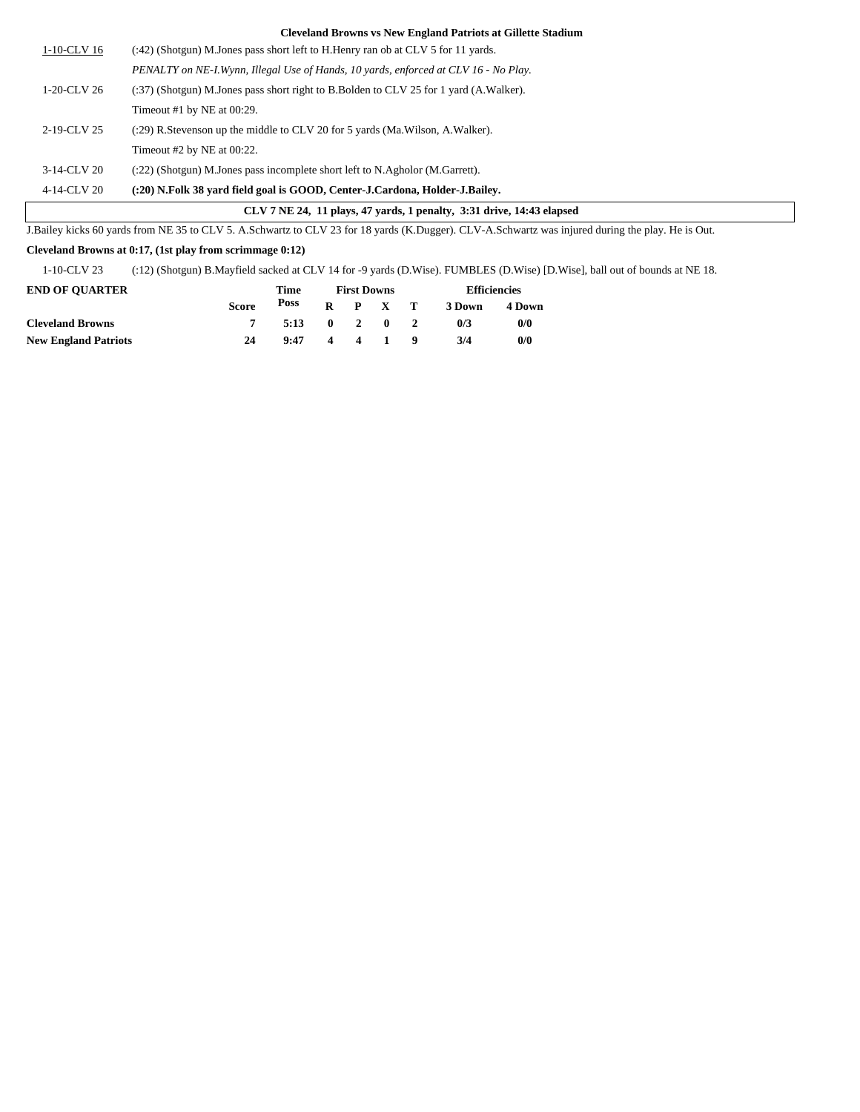|             | J.Bailey kicks 60 yards from NE 35 to CLV 5. A.Schwartz to CLV 23 for 18 yards (K.Dugger). CLV-A.Schwartz was injured during the play. He is Out. |
|-------------|---------------------------------------------------------------------------------------------------------------------------------------------------|
|             | CLV 7 NE 24, 11 plays, 47 yards, 1 penalty, 3:31 drive, 14:43 elapsed                                                                             |
| 4-14-CLV 20 | (:20) N.Folk 38 yard field goal is GOOD, Center-J.Cardona, Holder-J.Bailey.                                                                       |
| 3-14-CLV 20 | $(22)$ (Shotgun) M.Jones pass incomplete short left to N.Agholor (M.Garrett).                                                                     |
|             | Timeout $#2$ by NE at 00:22.                                                                                                                      |
| 2-19-CLV 25 | (:29) R. Stevenson up the middle to CLV 20 for 5 yards (Ma. Wilson, A. Walker).                                                                   |
|             | Timeout #1 by NE at $00:29$ .                                                                                                                     |
| 1-20-CLV 26 | (:37) (Shotgun) M.Jones pass short right to B.Bolden to CLV 25 for 1 yard (A.Walker).                                                             |
|             | PENALTY on NE-I. Wynn, Illegal Use of Hands, 10 yards, enforced at CLV 16 - No Play.                                                              |
| 1-10-CLV 16 | (:42) (Shotgun) M.Jones pass short left to H.Henry ran ob at CLV 5 for 11 yards.                                                                  |

## **Cleveland Browns at 0:17, (1st play from scrimmage 0:12)**

1-10-CLV 23 (:12) (Shotgun) B.Mayfield sacked at CLV 14 for -9 yards (D.Wise). FUMBLES (D.Wise) [D.Wise], ball out of bounds at NE 18.

| <b>END OF OUARTER</b>       |              | Time |              | <b>First Downs</b>      |              | <b>Efficiencies</b> |        |  |
|-----------------------------|--------------|------|--------------|-------------------------|--------------|---------------------|--------|--|
|                             | <b>Score</b> | Poss | $\mathbf{R}$ |                         | P X T        | 3 Down              | 4 Down |  |
| <b>Cleveland Browns</b>     |              | 5:13 | $\mathbf{0}$ | $2 \quad 0$             |              | 0/3                 | 0/0    |  |
| <b>New England Patriots</b> | 24           | 9:47 | 4            | $\overline{\mathbf{4}}$ | $\mathbf{1}$ | 3/4                 | 0/0    |  |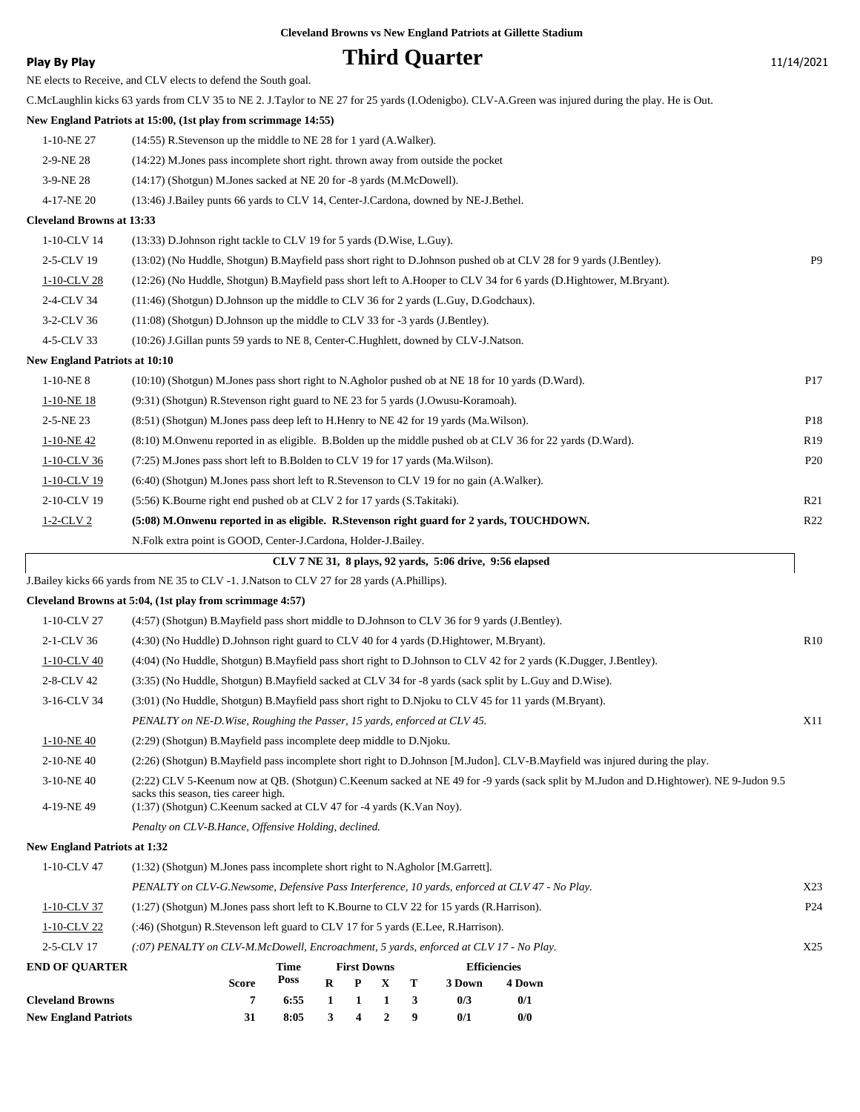# **Play By Play Play Play Play Play By Play Play By Play Play By Play Play Play Play Play Play Play Play Play Play Play Play Play Play Play Play Play Play Play Play Play**

| NE elects to Receive, and CLV elects to defend the South goal. |  |  |  |  |  |  |  |
|----------------------------------------------------------------|--|--|--|--|--|--|--|
|----------------------------------------------------------------|--|--|--|--|--|--|--|

|                                      | C.McLaughlin kicks 63 yards from CLV 35 to NE 2. J.Taylor to NE 27 for 25 yards (I.Odenigbo). CLV-A.Green was injured during the play. He is Out. |                 |
|--------------------------------------|---------------------------------------------------------------------------------------------------------------------------------------------------|-----------------|
|                                      | New England Patriots at 15:00, (1st play from scrimmage 14:55)                                                                                    |                 |
| 1-10-NE 27                           | $(14:55)$ R. Stevenson up the middle to NE 28 for 1 yard $(A.Walker)$ .                                                                           |                 |
| 2-9-NE 28                            | (14:22) M. Jones pass incomplete short right, thrown away from outside the pocket                                                                 |                 |
| 3-9-NE 28                            | (14:17) (Shotgun) M.Jones sacked at NE 20 for -8 yards (M.McDowell).                                                                              |                 |
| 4-17-NE 20                           | (13:46) J.Bailey punts 66 yards to CLV 14, Center-J.Cardona, downed by NE-J.Bethel.                                                               |                 |
| <b>Cleveland Browns at 13:33</b>     |                                                                                                                                                   |                 |
| 1-10-CLV 14                          | (13:33) D.Johnson right tackle to CLV 19 for 5 yards (D.Wise, L.Guy).                                                                             |                 |
| 2-5-CLV 19                           | (13:02) (No Huddle, Shotgun) B.Mayfield pass short right to D.Johnson pushed ob at CLV 28 for 9 yards (J.Bentley).                                | P <sub>9</sub>  |
| 1-10-CLV 28                          | (12:26) (No Huddle, Shotgun) B. Mayfield pass short left to A. Hooper to CLV 34 for 6 yards (D. Hightower, M. Bryant).                            |                 |
| 2-4-CLV 34                           | (11:46) (Shotgun) D.Johnson up the middle to CLV 36 for 2 yards (L.Guy, D.Godchaux).                                                              |                 |
| 3-2-CLV 36                           | $(11:08)$ (Shotgun) D. Johnson up the middle to CLV 33 for -3 yards (J. Bentley).                                                                 |                 |
| 4-5-CLV 33                           | (10:26) J.Gillan punts 59 yards to NE 8, Center-C.Hughlett, downed by CLV-J.Natson.                                                               |                 |
| <b>New England Patriots at 10:10</b> |                                                                                                                                                   |                 |
| $1-10-NE_8$                          | $(10:10)$ (Shotgun) M.Jones pass short right to N.Agholor pushed ob at NE 18 for 10 yards (D.Ward).                                               | P17             |
| $1-10-NE$ 18                         | (9:31) (Shotgun) R.Stevenson right guard to NE 23 for 5 yards (J.Owusu-Koramoah).                                                                 |                 |
| 2-5-NE 23                            | (8.51) (Shotgun) M.Jones pass deep left to H.Henry to NE 42 for 19 yards (Ma.Wilson).                                                             | P18             |
| 1-10-NE42                            | (8:10) M.Onwenu reported in as eligible. B.Bolden up the middle pushed ob at CLV 36 for 22 yards (D.Ward).                                        | R <sub>19</sub> |
| 1-10-CLV 36                          | (7:25) M. Jones pass short left to B. Bolden to CLV 19 for 17 yards (Ma. Wilson).                                                                 | P <sub>20</sub> |
| 1-10-CLV 19                          | (6:40) (Shotgun) M.Jones pass short left to R.Stevenson to CLV 19 for no gain (A.Walker).                                                         |                 |
| 2-10-CLV 19                          | (5:56) K. Bourne right end pushed ob at CLV 2 for 17 yards (S. Takitaki).                                                                         | R21             |
| $1-2$ -CLV 2                         | (5:08) M.Onwenu reported in as eligible. R.Stevenson right guard for 2 yards, TOUCHDOWN.                                                          | R22             |
|                                      | N.Folk extra point is GOOD, Center-J.Cardona, Holder-J.Bailey.                                                                                    |                 |
|                                      | CLV 7 NE 31, 8 plays, 92 vards, 5:06 drive, 9:56 elapsed                                                                                          |                 |
|                                      | J.Bailey kicks 66 yards from NE 35 to CLV -1. J.Natson to CLV 27 for 28 yards (A.Phillips).                                                       |                 |
|                                      |                                                                                                                                                   |                 |

## **Cleveland Browns at 5:04, (1st play from scrimmage 4:57)**

|                                     | Cleveland Browns at 5:04, (1st play from scrimmage 4:57)                                                                                                                       |                 |
|-------------------------------------|--------------------------------------------------------------------------------------------------------------------------------------------------------------------------------|-----------------|
| 1-10-CLV 27                         | (4:57) (Shotgun) B.Mayfield pass short middle to D.Johnson to CLV 36 for 9 yards (J.Bentley).                                                                                  |                 |
| 2-1-CLV 36                          | $(4:30)$ (No Huddle) D. Johnson right guard to CLV 40 for 4 yards (D. Hightower, M. Bryant).                                                                                   | R10             |
| 1-10-CLV 40                         | (4:04) (No Huddle, Shotgun) B. Mayfield pass short right to D. Johnson to CLV 42 for 2 yards (K. Dugger, J. Bentley).                                                          |                 |
| 2-8-CLV 42                          | (3:35) (No Huddle, Shotgun) B. Mayfield sacked at CLV 34 for -8 yards (sack split by L. Guy and D. Wise).                                                                      |                 |
| 3-16-CLV 34                         | (3:01) (No Huddle, Shotgun) B.Mayfield pass short right to D.Njoku to CLV 45 for 11 yards (M.Bryant).                                                                          |                 |
|                                     | PENALTY on NE-D. Wise, Roughing the Passer, 15 yards, enforced at CLV 45.                                                                                                      | X11             |
| 1-10-NE 40                          | (2:29) (Shotgun) B.Mayfield pass incomplete deep middle to D.Njoku.                                                                                                            |                 |
| 2-10-NE 40                          | (2:26) (Shotgun) B.Mayfield pass incomplete short right to D.Johnson [M.Judon]. CLV-B.Mayfield was injured during the play.                                                    |                 |
| $3-10-NE$ 40                        | (2:22) CLV 5-Keenum now at QB. (Shotgun) C.Keenum sacked at NE 49 for -9 yards (sack split by M.Judon and D.Hightower). NE 9-Judon 9.5<br>sacks this season, ties career high. |                 |
| 4-19-NE49                           | (1:37) (Shotgun) C.Keenum sacked at CLV 47 for -4 yards (K.Van Noy).                                                                                                           |                 |
|                                     | Penalty on CLV-B.Hance, Offensive Holding, declined.                                                                                                                           |                 |
| <b>New England Patriots at 1:32</b> |                                                                                                                                                                                |                 |
| 1-10-CLV 47                         | $(1:32)$ (Shotgun) M.Jones pass incomplete short right to N.Agholor [M.Garrett].                                                                                               |                 |
|                                     | PENALTY on CLV-G.Newsome, Defensive Pass Interference, 10 yards, enforced at CLV 47 - No Play.                                                                                 | X23             |
| 1-10-CLV 37                         | $(1:27)$ (Shotgun) M.Jones pass short left to K.Bourne to CLV 22 for 15 yards (R.Harrison).                                                                                    | P <sub>24</sub> |

1-10-CLV 22 (:46) (Shotgun) R.Stevenson left guard to CLV 17 for 5 yards (E.Lee, R.Harrison).

|                       | $(.07)$ PENALTY on CLV-M.McDowell, Encroachment, 5 yards, enforced at CLV 17 - No Play. |  |                    |  |  |  |                     |        |  |
|-----------------------|-----------------------------------------------------------------------------------------|--|--------------------|--|--|--|---------------------|--------|--|
| <b>END OF OUARTER</b> | Time                                                                                    |  | <b>First Downs</b> |  |  |  | <b>Efficiencies</b> |        |  |
|                       | Poss $R$ $P$ $X$ $T$<br><b>Score</b>                                                    |  |                    |  |  |  | 3 Down              | 4 Down |  |

|                             | Score |              |  |  | Poss R P X T 3Down | 4 Doy |
|-----------------------------|-------|--------------|--|--|--------------------|-------|
| <b>Cleveland Browns</b>     |       | 6:55 1 1 1 3 |  |  | 0/3                | 0/1   |
| <b>New England Patriots</b> |       | 8:05 3 4 2 9 |  |  | 0/1                | 0/0   |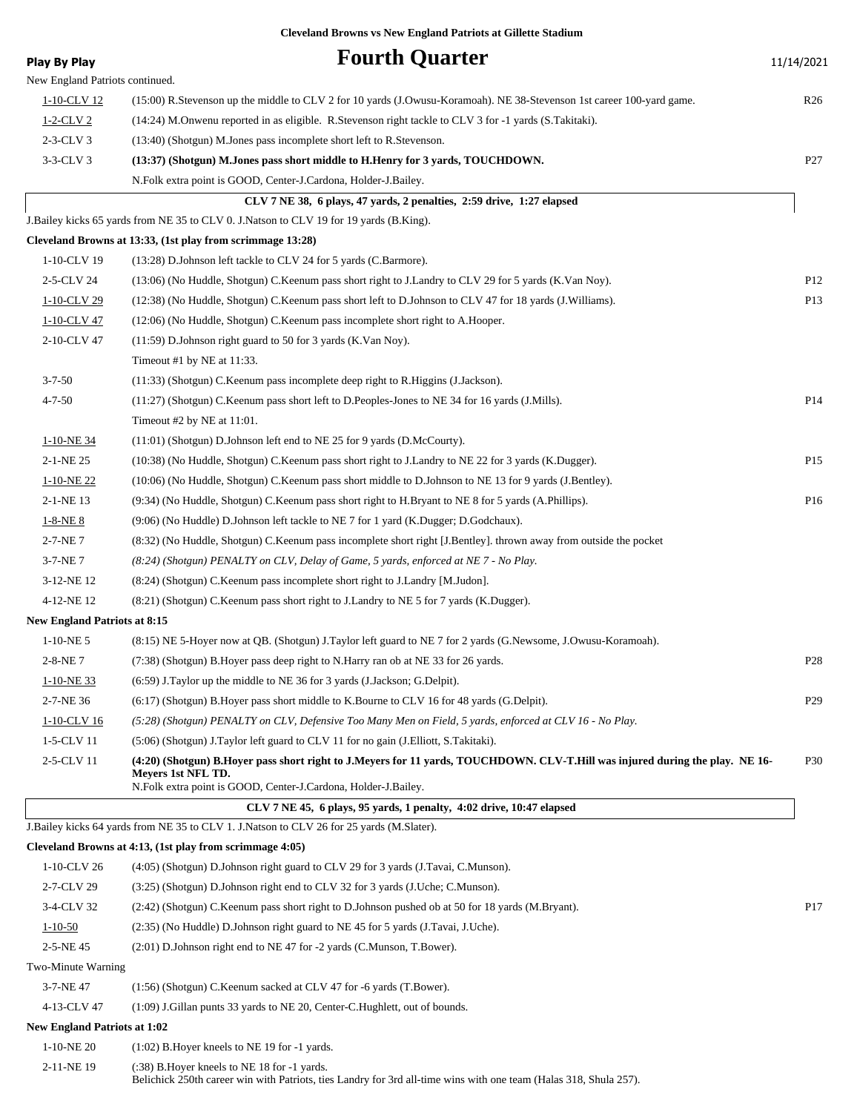| <b>Play By Play</b>                 | <b>Fourth Quarter</b>                                                                                                                                                                                                 | 11/14/2021      |
|-------------------------------------|-----------------------------------------------------------------------------------------------------------------------------------------------------------------------------------------------------------------------|-----------------|
| New England Patriots continued.     |                                                                                                                                                                                                                       |                 |
| 1-10-CLV 12                         | (15:00) R.Stevenson up the middle to CLV 2 for 10 yards (J.Owusu-Koramoah). NE 38-Stevenson 1st career 100-yard game.                                                                                                 | R <sub>26</sub> |
| $1-2$ -CLV 2                        | (14:24) M.Onwenu reported in as eligible. R.Stevenson right tackle to CLV 3 for -1 yards (S.Takitaki).                                                                                                                |                 |
| $2-3-CLV3$                          | (13:40) (Shotgun) M.Jones pass incomplete short left to R.Stevenson.                                                                                                                                                  |                 |
| $3-3-CLV3$                          | (13:37) (Shotgun) M.Jones pass short middle to H.Henry for 3 yards, TOUCHDOWN.                                                                                                                                        | P27             |
|                                     | N.Folk extra point is GOOD, Center-J.Cardona, Holder-J.Bailey.                                                                                                                                                        |                 |
|                                     | CLV 7 NE 38, 6 plays, 47 yards, 2 penalties, 2:59 drive, 1:27 elapsed                                                                                                                                                 |                 |
|                                     | J.Bailey kicks 65 yards from NE 35 to CLV 0. J.Natson to CLV 19 for 19 yards (B.King).                                                                                                                                |                 |
|                                     | Cleveland Browns at 13:33, (1st play from scrimmage 13:28)                                                                                                                                                            |                 |
| 1-10-CLV 19                         | (13:28) D.Johnson left tackle to CLV 24 for 5 yards (C.Barmore).                                                                                                                                                      |                 |
| 2-5-CLV 24                          | (13:06) (No Huddle, Shotgun) C.Keenum pass short right to J.Landry to CLV 29 for 5 yards (K.Van Noy).                                                                                                                 | P <sub>12</sub> |
| 1-10-CLV 29                         | (12:38) (No Huddle, Shotgun) C.Keenum pass short left to D.Johnson to CLV 47 for 18 yards (J.Williams).                                                                                                               | P <sub>13</sub> |
| 1-10-CLV 47                         | (12:06) (No Huddle, Shotgun) C.Keenum pass incomplete short right to A.Hooper.                                                                                                                                        |                 |
| 2-10-CLV 47                         | $(11:59)$ D. Johnson right guard to 50 for 3 yards (K. Van Noy).                                                                                                                                                      |                 |
|                                     | Timeout #1 by NE at 11:33.                                                                                                                                                                                            |                 |
| $3 - 7 - 50$                        | (11:33) (Shotgun) C.Keenum pass incomplete deep right to R.Higgins (J.Jackson).                                                                                                                                       |                 |
| $4 - 7 - 50$                        | (11:27) (Shotgun) C.Keenum pass short left to D.Peoples-Jones to NE 34 for 16 yards (J.Mills).                                                                                                                        | P <sub>14</sub> |
|                                     | Timeout #2 by NE at 11:01.                                                                                                                                                                                            |                 |
| 1-10-NE 34                          | (11:01) (Shotgun) D.Johnson left end to NE 25 for 9 yards (D.McCourty).                                                                                                                                               |                 |
| 2-1-NE 25                           | (10:38) (No Huddle, Shotgun) C.Keenum pass short right to J.Landry to NE 22 for 3 yards (K.Dugger).                                                                                                                   | P15             |
| $1-10-NE$ 22                        | (10:06) (No Huddle, Shotgun) C.Keenum pass short middle to D.Johnson to NE 13 for 9 yards (J.Bentley).                                                                                                                |                 |
| 2-1-NE 13                           | (9:34) (No Huddle, Shotgun) C.Keenum pass short right to H.Bryant to NE 8 for 5 yards (A.Phillips).                                                                                                                   | P16             |
| $1 - 8 - NE_8$                      | (9:06) (No Huddle) D.Johnson left tackle to NE 7 for 1 yard (K.Dugger; D.Godchaux).                                                                                                                                   |                 |
| 2-7-NE7                             | (8:32) (No Huddle, Shotgun) C.Keenum pass incomplete short right [J.Bentley]. thrown away from outside the pocket                                                                                                     |                 |
| 3-7-NE7                             | (8.24) (Shotgun) PENALTY on CLV, Delay of Game, 5 yards, enforced at NE 7 - No Play.                                                                                                                                  |                 |
| 3-12-NE 12                          | (8:24) (Shotgun) C.Keenum pass incomplete short right to J.Landry [M.Judon].                                                                                                                                          |                 |
| 4-12-NE 12                          | (8.21) (Shotgun) C.Keenum pass short right to J.Landry to NE 5 for 7 yards (K.Dugger).                                                                                                                                |                 |
| <b>New England Patriots at 8:15</b> |                                                                                                                                                                                                                       |                 |
| $1-10-NE$ 5                         | (8:15) NE 5-Hoyer now at QB. (Shotgun) J.Taylor left guard to NE 7 for 2 yards (G.Newsome, J.Owusu-Koramoah).                                                                                                         |                 |
| $2 - 8 - NE$ 7                      | (7:38) (Shotgun) B. Hoyer pass deep right to N. Harry ran ob at NE 33 for 26 yards.                                                                                                                                   | P <sub>28</sub> |
| $1-10-NE$ 33                        | (6:59) J. Taylor up the middle to NE 36 for 3 yards (J. Jackson; G. Delpit).                                                                                                                                          |                 |
| 2-7-NE 36                           | (6.17) (Shotgun) B.Hoyer pass short middle to K.Bourne to CLV 16 for 48 yards (G.Delpit).                                                                                                                             | P <sub>29</sub> |
| 1-10-CLV 16                         | (5:28) (Shotgun) PENALTY on CLV, Defensive Too Many Men on Field, 5 yards, enforced at CLV 16 - No Play.                                                                                                              |                 |
| 1-5-CLV 11                          | (5:06) (Shotgun) J.Taylor left guard to CLV 11 for no gain (J.Elliott, S.Takitaki).                                                                                                                                   |                 |
| 2-5-CLV 11                          | (4:20) (Shotgun) B.Hoyer pass short right to J.Meyers for 11 yards, TOUCHDOWN. CLV-T.Hill was injured during the play. NE 16-<br>Mevers 1st NFL TD.<br>N.Folk extra point is GOOD, Center-J.Cardona, Holder-J.Bailey. | <b>P30</b>      |
|                                     | CLV 7 NE 45, 6 plays, 95 yards, 1 penalty, 4:02 drive, 10:47 elapsed                                                                                                                                                  |                 |
|                                     | J.Bailey kicks 64 yards from NE 35 to CLV 1. J.Natson to CLV 26 for 25 yards (M.Slater).                                                                                                                              |                 |
|                                     | Cleveland Browns at 4:13, (1st play from scrimmage 4:05)                                                                                                                                                              |                 |
| 1-10-CLV 26                         | (4:05) (Shotgun) D.Johnson right guard to CLV 29 for 3 yards (J.Tavai, C.Munson).                                                                                                                                     |                 |
| 2-7-CLV 29                          | (3:25) (Shotgun) D.Johnson right end to CLV 32 for 3 yards (J.Uche; C.Munson).                                                                                                                                        |                 |
| 3-4-CLV 32                          | (2:42) (Shotgun) C.Keenum pass short right to D.Johnson pushed ob at 50 for 18 yards (M.Bryant).                                                                                                                      | P <sub>17</sub> |
| $1 - 10 - 50$                       | (2.35) (No Huddle) D. Johnson right guard to NE 45 for 5 yards (J. Tavai, J. Uche).                                                                                                                                   |                 |
| 2-5-NE45                            | $(2:01)$ D.Johnson right end to NE 47 for -2 yards (C.Munson, T.Bower).                                                                                                                                               |                 |
| Two-Minute Warning                  |                                                                                                                                                                                                                       |                 |
| 3-7-NE 47                           | (1:56) (Shotgun) C.Keenum sacked at CLV 47 for -6 yards (T.Bower).                                                                                                                                                    |                 |
| 4-13-CLV 47                         | (1:09) J. Gillan punts 33 yards to NE 20, Center-C. Hughlett, out of bounds.                                                                                                                                          |                 |
| <b>New England Patriots at 1:02</b> |                                                                                                                                                                                                                       |                 |
| $1-10-NE$ 20                        | $(1:02)$ B. Hoyer kneels to NE 19 for $-1$ yards.                                                                                                                                                                     |                 |
| 2-11-NE 19                          | $(38)$ B. Hoyer kneels to NE 18 for $-1$ yards.<br>Belichick 250th career win with Patriots, ties Landry for 3rd all-time wins with one team (Halas 318, Shula 257).                                                  |                 |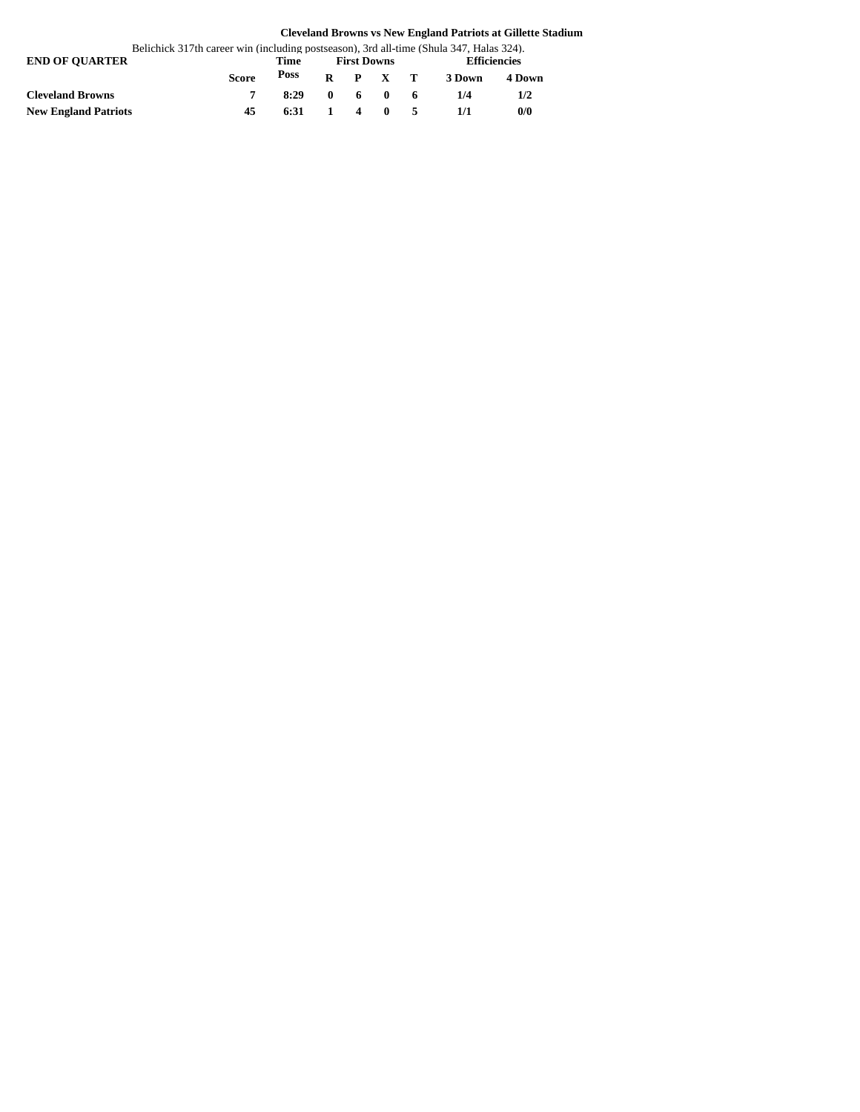| Belichick 317th career win (including postseason), 3rd all-time (Shula 347, Halas 324). |              |      |                    |  |                          |  |                     |        |  |
|-----------------------------------------------------------------------------------------|--------------|------|--------------------|--|--------------------------|--|---------------------|--------|--|
| <b>END OF OUARTER</b>                                                                   |              | Time | <b>First Downs</b> |  |                          |  | <b>Efficiencies</b> |        |  |
|                                                                                         | <b>Score</b> | Poss |                    |  | $R$ $P$ $X$ $T$          |  | 3 Down              | 4 Down |  |
| <b>Cleveland Browns</b>                                                                 |              | 8:29 |                    |  | $0\quad 6\quad 0\quad 6$ |  | 1/4                 | 1/2    |  |
| <b>New England Patriots</b>                                                             | 45           | 6:31 |                    |  | 1 4 0 5                  |  |                     | 0/0    |  |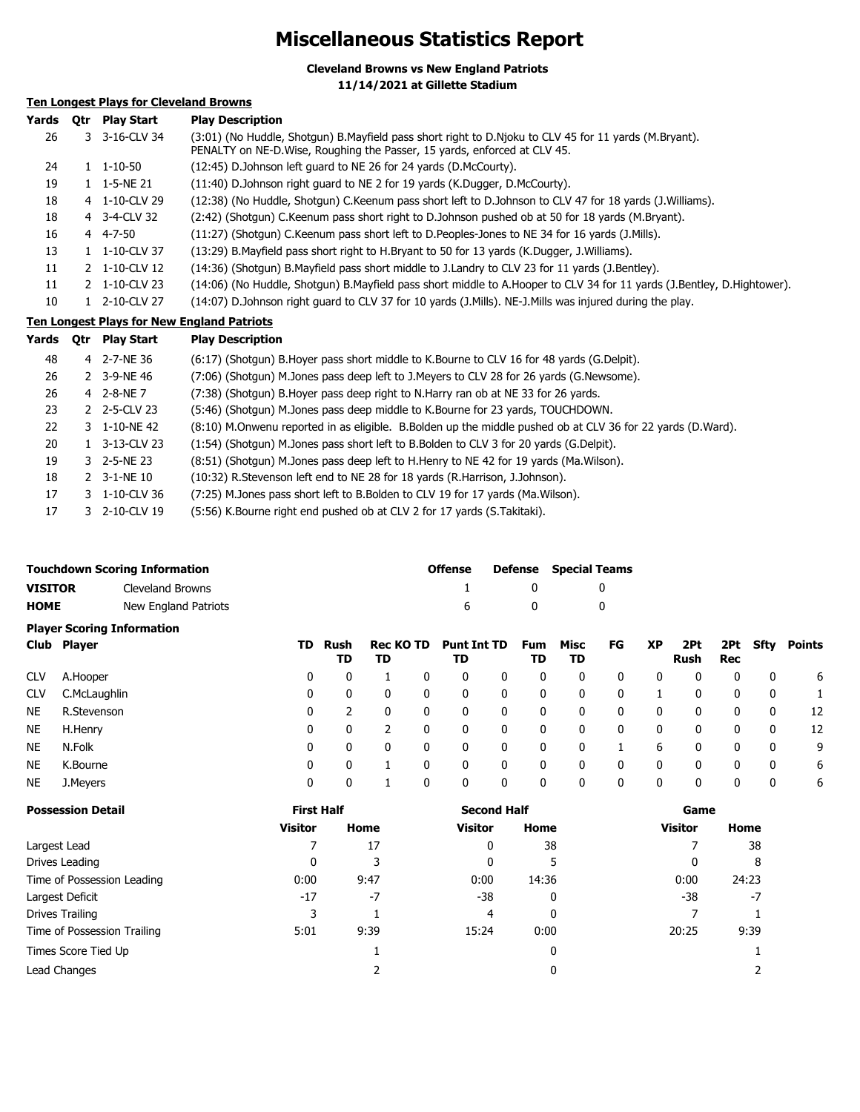# **Miscellaneous Statistics Report**

**Cleveland Browns vs New England Patriots**

**11/14/2021 at Gillette Stadium**

# **Ten Longest Plays for Cleveland Browns**

| Yards | 0tr | <b>Play Start</b>     | <b>Play Description</b>                                                                                                                                                            |
|-------|-----|-----------------------|------------------------------------------------------------------------------------------------------------------------------------------------------------------------------------|
| 26    |     | 3 3-16-CLV 34         | (3:01) (No Huddle, Shotgun) B.Mayfield pass short right to D.Njoku to CLV 45 for 11 yards (M.Bryant).<br>PENALTY on NE-D. Wise, Roughing the Passer, 15 yards, enforced at CLV 45. |
| 24    |     | $1 \quad 1 - 10 - 50$ | (12:45) D.Johnson left quard to NE 26 for 24 yards (D.McCourty).                                                                                                                   |
| 19    |     | 1 1-5-NE 21           | (11:40) D.Johnson right quard to NE 2 for 19 yards (K.Dugger, D.McCourty).                                                                                                         |
| 18    |     | 4 1-10-CLV 29         | (12:38) (No Huddle, Shotgun) C.Keenum pass short left to D.Johnson to CLV 47 for 18 yards (J.Williams).                                                                            |
| 18    |     | 4 3-4-CLV 32          | (2:42) (Shotgun) C.Keenum pass short right to D.Johnson pushed ob at 50 for 18 yards (M.Bryant).                                                                                   |
| 16    |     | 4 4-7-50              | (11:27) (Shotqun) C.Keenum pass short left to D.Peoples-Jones to NE 34 for 16 yards (J.Mills).                                                                                     |
| 13    |     | 1 1-10-CLV 37         | (13:29) B. Mayfield pass short right to H. Bryant to 50 for 13 yards (K. Dugger, J. Williams).                                                                                     |
| 11    |     | 2 1-10-CLV 12         | (14:36) (Shotgun) B. Mayfield pass short middle to J. Landry to CLV 23 for 11 yards (J. Bentley).                                                                                  |
| 11    |     | 2 1-10-CLV 23         | (14:06) (No Huddle, Shotgun) B. Mayfield pass short middle to A. Hooper to CLV 34 for 11 yards (J. Bentley, D. Hightower).                                                         |
| 10    |     | 1 2-10-CLV 27         | (14:07) D.Johnson right guard to CLV 37 for 10 yards (J.Mills). NE-J.Mills was injured during the play.                                                                            |
|       |     |                       | <b>Ten Longest Plays for New England Patriots</b>                                                                                                                                  |
|       |     | Yards Otr Play Start  | <b>Play Description</b>                                                                                                                                                            |

| .  | VU INTUUNIL   | .                                                                                                          |
|----|---------------|------------------------------------------------------------------------------------------------------------|
| 48 | 4 2-7-NE 36   | (6:17) (Shotgun) B. Hoyer pass short middle to K. Bourne to CLV 16 for 48 yards (G. Delpit).               |
| 26 | 2 3-9-NE 46   | (7:06) (Shotgun) M.Jones pass deep left to J.Meyers to CLV 28 for 26 yards (G.Newsome).                    |
| 26 | 4 2-8-NE 7    | (7:38) (Shotgun) B.Hoyer pass deep right to N.Harry ran ob at NE 33 for 26 yards.                          |
| 23 | 2 2-5-CLV 23  | (5:46) (Shotgun) M.Jones pass deep middle to K.Bourne for 23 yards, TOUCHDOWN.                             |
| 22 | 3 1-10-NE 42  | (8:10) M.Onwenu reported in as eligible. B.Bolden up the middle pushed ob at CLV 36 for 22 yards (D.Ward). |
| 20 | 1 3-13-CLV 23 | (1:54) (Shotgun) M.Jones pass short left to B.Bolden to CLV 3 for 20 yards (G.Delpit).                     |
| 19 | 3 2-5-NE 23   | (8:51) (Shotgun) M.Jones pass deep left to H.Henry to NE 42 for 19 yards (Ma.Wilson).                      |
| 18 | 2 3-1-NE 10   | (10:32) R.Stevenson left end to NE 28 for 18 yards (R.Harrison, J.Johnson).                                |
| 17 | 3 1-10-CLV 36 | (7:25) M.Jones pass short left to B.Bolden to CLV 19 for 17 yards (Ma.Wilson).                             |
| 17 | 3 2-10-CLV 19 | (5:56) K. Bourne right end pushed ob at CLV 2 for 17 yards (S. Takitaki).                                  |
|    |               |                                                                                                            |

| <b>Touchdown Scoring Information</b> |                      | <b>Offense</b> |              | <b>Defense</b> Special Teams |
|--------------------------------------|----------------------|----------------|--------------|------------------------------|
| <b>VISITOR</b>                       | Cleveland Browns     |                |              |                              |
| <b>HOME</b>                          | New England Patriots | 6.             | $\mathbf{u}$ |                              |

|            | <b>Player Scoring Information</b> |     |            |                        |                          |   |           |              |    |              |             |     |          |        |
|------------|-----------------------------------|-----|------------|------------------------|--------------------------|---|-----------|--------------|----|--------------|-------------|-----|----------|--------|
|            | Club Player                       | TD. | Rush<br>TD | <b>Rec KO TD</b><br>TD | <b>Punt Int TD</b><br>TD |   | Fum<br>TD | Misc<br>TD   | FG | <b>XP</b>    | 2Pt<br>Rush | Rec | 2Pt Sfty | Points |
| <b>CLV</b> | A.Hooper                          | 0   |            |                        | 0                        | 0 | 0         |              |    |              | 0           | 0   |          | 6      |
| <b>CLV</b> | C.McLaughlin                      | 0   |            | 0                      | 0                        | 0 | 0         | $\Omega$     | 0  |              | 0           | 0   | 0        |        |
| <b>NE</b>  | R.Stevenson                       | 0   |            | 0                      | 0                        | 0 | 0         | 0            | 0  | 0            | 0           | 0   | 0        | 12     |
| <b>NE</b>  | H.Henry                           | 0   | 0          |                        | 0                        | 0 | 0         | 0            | 0  | 0            | 0           | 0   | 0        | 12     |
| <b>NE</b>  | N.Folk                            | 0   | 0          | 0                      | 0                        | 0 | 0         |              |    | 6            | 0           | 0   | 0        | 9      |
| <b>NE</b>  | K.Bourne                          | 0   |            |                        | 0                        | 0 | 0         | <sup>0</sup> | 0  | $\mathbf{0}$ | 0           | 0   | 0        | 6      |
| <b>NE</b>  | J.Meyers                          | 0   |            |                        | 0                        | 0 | 0         | 0            | 0  | 0            | 0           | 0   | 0        | 6      |

| <b>Possession Detail</b>    | <b>First Half</b> |      | <b>Second Half</b> |       | Game           |       |  |
|-----------------------------|-------------------|------|--------------------|-------|----------------|-------|--|
|                             | <b>Visitor</b>    | Home | Visitor            | Home  | <b>Visitor</b> | Home  |  |
| Largest Lead                |                   | 17   | 0                  | 38    |                | 38    |  |
| Drives Leading              | 0                 |      |                    | 5     |                | 8     |  |
| Time of Possession Leading  | 0:00              | 9:47 | 0:00               | 14:36 | 0:00           | 24:23 |  |
| Largest Deficit             | $-17$             | $-7$ | -38                | 0     | -38            | -7    |  |
| Drives Trailing             | 3                 |      | 4                  | 0     |                |       |  |
| Time of Possession Trailing | 5:01              | 9:39 | 15:24              | 0:00  | 20:25          | 9:39  |  |
| Times Score Tied Up         |                   |      |                    | 0     |                |       |  |
| Lead Changes                |                   |      |                    | 0     |                |       |  |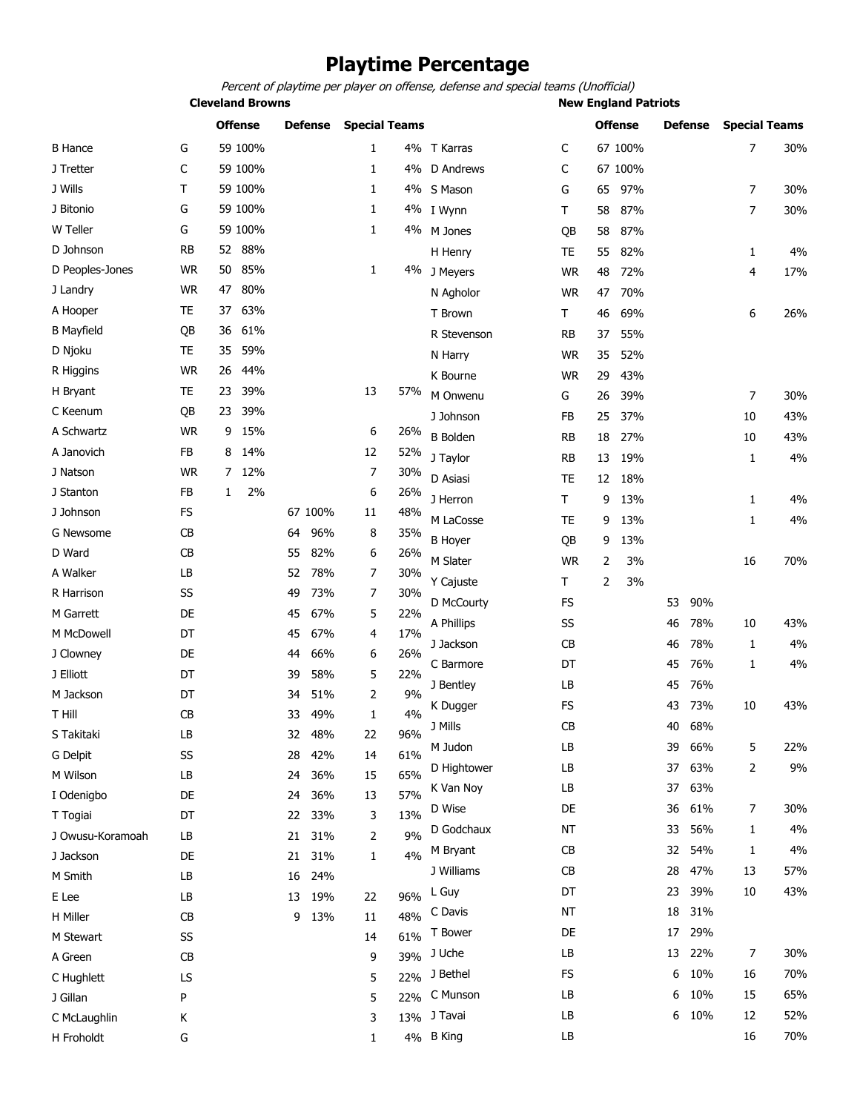# **Playtime Percentage**

Percent of playtime per player on offense, defense and special teams (Unofficial)

**Cleveland Browns New England Patriots** 

| 67 100%<br>7<br>59 100%<br>4% T Karras<br>30%<br><b>B</b> Hance<br>G<br>1<br>C<br>C<br>59 100%<br>J Tretter<br>1<br>4% D Andrews<br>C<br>67 100%<br>J Wills<br>т<br>59 100%<br>1<br>4% S Mason<br>G<br>97%<br>30%<br>65<br>7<br>J Bitonio<br>59 100%<br>G<br>1<br>87%<br>$\overline{7}$<br>30%<br>4% I Wynn<br>Т<br>58<br>W Teller<br>G<br>59 100%<br>1<br>4% M Jones<br>87%<br>58<br>QB<br>D Johnson<br><b>RB</b><br>88%<br>52<br><b>TE</b><br>55<br>82%<br>4%<br>H Henry<br>1<br><b>WR</b><br>85%<br>D Peoples-Jones<br>50<br>1<br>4% J Meyers<br>72%<br>4<br>17%<br><b>WR</b><br>48<br><b>WR</b><br>80%<br>47<br>J Landry<br><b>WR</b><br>47<br>70%<br>N Agholor<br>A Hooper<br>TE<br>37<br>63%<br>T<br>69%<br>6<br>26%<br>T Brown<br>46<br><b>B</b> Mayfield<br>61%<br>QB<br>36<br>R Stevenson<br><b>RB</b><br>37<br>55%<br>D Njoku<br><b>TE</b><br>59%<br>35<br><b>WR</b><br>35<br>52%<br>N Harry<br><b>WR</b><br>26<br>44%<br>R Higgins<br>43%<br>K Bourne<br><b>WR</b><br>29<br>39%<br>H Bryant<br>TE<br>23<br>13<br>57%<br>M Onwenu<br>39%<br>$\overline{7}$<br>30%<br>G<br>26<br>39%<br>C Keenum<br>QB<br>23<br>43%<br>J Johnson<br>37%<br>FB<br>25<br>10<br>A Schwartz<br>15%<br>6<br><b>WR</b><br>9<br>26%<br><b>B</b> Bolden<br>43%<br><b>RB</b><br>18<br>27%<br>10<br>A Janovich<br>FB<br>14%<br>12<br>8<br>52%<br>4%<br>J Taylor<br><b>RB</b><br>13<br>19%<br>1<br><b>WR</b><br>7<br>30%<br>J Natson<br>7<br>12%<br>D Asiasi<br>18%<br>TE.<br>12<br>FB<br>2%<br>6<br>26%<br>J Stanton<br>1<br>4%<br>J Herron<br>T<br>9<br>13%<br>1<br>J Johnson<br>67 100%<br>FS<br>11<br>48%<br>M LaCosse<br>4%<br><b>TE</b><br>13%<br>1<br>9<br>CB<br>96%<br>8<br>35%<br>G Newsome<br>64<br><b>B</b> Hoyer<br>QB<br>13%<br>9<br>D Ward<br>CB<br>82%<br>26%<br>55<br>6<br>M Slater<br><b>WR</b><br>3%<br>70%<br>2<br>16<br>A Walker<br>LB<br>78%<br>7<br>30%<br>52<br>T<br>2<br>3%<br>Y Cajuste<br>SS<br>73%<br>30%<br>R Harrison<br>49<br>7<br>D McCourty<br><b>FS</b><br>53<br>90%<br>M Garrett<br>DE<br>67%<br>5<br>45<br>22%<br>43%<br>A Phillips<br>SS<br>78%<br>46<br>10<br>M McDowell<br>DT<br>67%<br>17%<br>45<br>4<br>4%<br>CB<br>78%<br>J Jackson<br>46<br>1<br>DE<br>66%<br>26%<br>J Clowney<br>6<br>44<br>DT<br>76%<br>4%<br>C Barmore<br>45<br>1<br>5<br>22%<br>J Elliott<br>DT<br>58%<br>39<br>J Bentley<br>LВ<br>45<br>76%<br>M Jackson<br>DT<br>51%<br>9%<br>2<br>34<br>43%<br><b>FS</b><br>73%<br>43<br>10<br>K Dugger<br>T Hill<br>4%<br>CB<br>49%<br>33<br>1<br>J Mills<br>CB<br>68%<br>40<br>LB<br>48%<br>96%<br>S Takitaki<br>32<br>22<br>M Judon<br>LB<br>39<br>66%<br>5<br>22%<br>SS<br>28<br>42%<br>61%<br>G Delpit<br>14<br>LB<br>37<br>63%<br>2<br>9%<br>D Hightower<br>65%<br>M Wilson<br>LB<br>36%<br>24<br>15<br>63%<br>K Van Noy<br>LB<br>37<br>57%<br>I Odenigbo<br>DE<br>24<br>36%<br>13<br>D Wise<br>DE<br>61%<br>7<br>30%<br>36<br>33%<br>13%<br>T Togiai<br>DT<br>22<br>3<br>D Godchaux<br>56%<br>4%<br>NT<br>33<br>1<br>9%<br>21<br>31%<br>J Owusu-Koramoah<br>LB<br>2<br>CB<br>54%<br>4%<br>M Bryant<br>32<br>1<br>4%<br>J Jackson<br>DE<br>21 31%<br>1<br>J Williams<br>CB<br>47%<br>57%<br>28<br>13<br>M Smith<br>LB<br>16<br>24% |  | <b>Offense</b> | <b>Defense</b> | <b>Special Teams</b> |       |    | <b>Offense</b> |    | <b>Defense</b> | <b>Special Teams</b> |     |
|-------------------------------------------------------------------------------------------------------------------------------------------------------------------------------------------------------------------------------------------------------------------------------------------------------------------------------------------------------------------------------------------------------------------------------------------------------------------------------------------------------------------------------------------------------------------------------------------------------------------------------------------------------------------------------------------------------------------------------------------------------------------------------------------------------------------------------------------------------------------------------------------------------------------------------------------------------------------------------------------------------------------------------------------------------------------------------------------------------------------------------------------------------------------------------------------------------------------------------------------------------------------------------------------------------------------------------------------------------------------------------------------------------------------------------------------------------------------------------------------------------------------------------------------------------------------------------------------------------------------------------------------------------------------------------------------------------------------------------------------------------------------------------------------------------------------------------------------------------------------------------------------------------------------------------------------------------------------------------------------------------------------------------------------------------------------------------------------------------------------------------------------------------------------------------------------------------------------------------------------------------------------------------------------------------------------------------------------------------------------------------------------------------------------------------------------------------------------------------------------------------------------------------------------------------------------------------------------------------------------------------------------------------------------------------------------------------------------------------------------------------------------------------------------------------------------------------------------------------------------------------------------------------------------------------------------------------------------------------------------------------------------------------------------------------------------------------------------------------------------------------------------------------------------------|--|----------------|----------------|----------------------|-------|----|----------------|----|----------------|----------------------|-----|
|                                                                                                                                                                                                                                                                                                                                                                                                                                                                                                                                                                                                                                                                                                                                                                                                                                                                                                                                                                                                                                                                                                                                                                                                                                                                                                                                                                                                                                                                                                                                                                                                                                                                                                                                                                                                                                                                                                                                                                                                                                                                                                                                                                                                                                                                                                                                                                                                                                                                                                                                                                                                                                                                                                                                                                                                                                                                                                                                                                                                                                                                                                                                                                         |  |                |                |                      |       |    |                |    |                |                      |     |
|                                                                                                                                                                                                                                                                                                                                                                                                                                                                                                                                                                                                                                                                                                                                                                                                                                                                                                                                                                                                                                                                                                                                                                                                                                                                                                                                                                                                                                                                                                                                                                                                                                                                                                                                                                                                                                                                                                                                                                                                                                                                                                                                                                                                                                                                                                                                                                                                                                                                                                                                                                                                                                                                                                                                                                                                                                                                                                                                                                                                                                                                                                                                                                         |  |                |                |                      |       |    |                |    |                |                      |     |
|                                                                                                                                                                                                                                                                                                                                                                                                                                                                                                                                                                                                                                                                                                                                                                                                                                                                                                                                                                                                                                                                                                                                                                                                                                                                                                                                                                                                                                                                                                                                                                                                                                                                                                                                                                                                                                                                                                                                                                                                                                                                                                                                                                                                                                                                                                                                                                                                                                                                                                                                                                                                                                                                                                                                                                                                                                                                                                                                                                                                                                                                                                                                                                         |  |                |                |                      |       |    |                |    |                |                      |     |
|                                                                                                                                                                                                                                                                                                                                                                                                                                                                                                                                                                                                                                                                                                                                                                                                                                                                                                                                                                                                                                                                                                                                                                                                                                                                                                                                                                                                                                                                                                                                                                                                                                                                                                                                                                                                                                                                                                                                                                                                                                                                                                                                                                                                                                                                                                                                                                                                                                                                                                                                                                                                                                                                                                                                                                                                                                                                                                                                                                                                                                                                                                                                                                         |  |                |                |                      |       |    |                |    |                |                      |     |
|                                                                                                                                                                                                                                                                                                                                                                                                                                                                                                                                                                                                                                                                                                                                                                                                                                                                                                                                                                                                                                                                                                                                                                                                                                                                                                                                                                                                                                                                                                                                                                                                                                                                                                                                                                                                                                                                                                                                                                                                                                                                                                                                                                                                                                                                                                                                                                                                                                                                                                                                                                                                                                                                                                                                                                                                                                                                                                                                                                                                                                                                                                                                                                         |  |                |                |                      |       |    |                |    |                |                      |     |
|                                                                                                                                                                                                                                                                                                                                                                                                                                                                                                                                                                                                                                                                                                                                                                                                                                                                                                                                                                                                                                                                                                                                                                                                                                                                                                                                                                                                                                                                                                                                                                                                                                                                                                                                                                                                                                                                                                                                                                                                                                                                                                                                                                                                                                                                                                                                                                                                                                                                                                                                                                                                                                                                                                                                                                                                                                                                                                                                                                                                                                                                                                                                                                         |  |                |                |                      |       |    |                |    |                |                      |     |
|                                                                                                                                                                                                                                                                                                                                                                                                                                                                                                                                                                                                                                                                                                                                                                                                                                                                                                                                                                                                                                                                                                                                                                                                                                                                                                                                                                                                                                                                                                                                                                                                                                                                                                                                                                                                                                                                                                                                                                                                                                                                                                                                                                                                                                                                                                                                                                                                                                                                                                                                                                                                                                                                                                                                                                                                                                                                                                                                                                                                                                                                                                                                                                         |  |                |                |                      |       |    |                |    |                |                      |     |
|                                                                                                                                                                                                                                                                                                                                                                                                                                                                                                                                                                                                                                                                                                                                                                                                                                                                                                                                                                                                                                                                                                                                                                                                                                                                                                                                                                                                                                                                                                                                                                                                                                                                                                                                                                                                                                                                                                                                                                                                                                                                                                                                                                                                                                                                                                                                                                                                                                                                                                                                                                                                                                                                                                                                                                                                                                                                                                                                                                                                                                                                                                                                                                         |  |                |                |                      |       |    |                |    |                |                      |     |
|                                                                                                                                                                                                                                                                                                                                                                                                                                                                                                                                                                                                                                                                                                                                                                                                                                                                                                                                                                                                                                                                                                                                                                                                                                                                                                                                                                                                                                                                                                                                                                                                                                                                                                                                                                                                                                                                                                                                                                                                                                                                                                                                                                                                                                                                                                                                                                                                                                                                                                                                                                                                                                                                                                                                                                                                                                                                                                                                                                                                                                                                                                                                                                         |  |                |                |                      |       |    |                |    |                |                      |     |
|                                                                                                                                                                                                                                                                                                                                                                                                                                                                                                                                                                                                                                                                                                                                                                                                                                                                                                                                                                                                                                                                                                                                                                                                                                                                                                                                                                                                                                                                                                                                                                                                                                                                                                                                                                                                                                                                                                                                                                                                                                                                                                                                                                                                                                                                                                                                                                                                                                                                                                                                                                                                                                                                                                                                                                                                                                                                                                                                                                                                                                                                                                                                                                         |  |                |                |                      |       |    |                |    |                |                      |     |
|                                                                                                                                                                                                                                                                                                                                                                                                                                                                                                                                                                                                                                                                                                                                                                                                                                                                                                                                                                                                                                                                                                                                                                                                                                                                                                                                                                                                                                                                                                                                                                                                                                                                                                                                                                                                                                                                                                                                                                                                                                                                                                                                                                                                                                                                                                                                                                                                                                                                                                                                                                                                                                                                                                                                                                                                                                                                                                                                                                                                                                                                                                                                                                         |  |                |                |                      |       |    |                |    |                |                      |     |
|                                                                                                                                                                                                                                                                                                                                                                                                                                                                                                                                                                                                                                                                                                                                                                                                                                                                                                                                                                                                                                                                                                                                                                                                                                                                                                                                                                                                                                                                                                                                                                                                                                                                                                                                                                                                                                                                                                                                                                                                                                                                                                                                                                                                                                                                                                                                                                                                                                                                                                                                                                                                                                                                                                                                                                                                                                                                                                                                                                                                                                                                                                                                                                         |  |                |                |                      |       |    |                |    |                |                      |     |
|                                                                                                                                                                                                                                                                                                                                                                                                                                                                                                                                                                                                                                                                                                                                                                                                                                                                                                                                                                                                                                                                                                                                                                                                                                                                                                                                                                                                                                                                                                                                                                                                                                                                                                                                                                                                                                                                                                                                                                                                                                                                                                                                                                                                                                                                                                                                                                                                                                                                                                                                                                                                                                                                                                                                                                                                                                                                                                                                                                                                                                                                                                                                                                         |  |                |                |                      |       |    |                |    |                |                      |     |
|                                                                                                                                                                                                                                                                                                                                                                                                                                                                                                                                                                                                                                                                                                                                                                                                                                                                                                                                                                                                                                                                                                                                                                                                                                                                                                                                                                                                                                                                                                                                                                                                                                                                                                                                                                                                                                                                                                                                                                                                                                                                                                                                                                                                                                                                                                                                                                                                                                                                                                                                                                                                                                                                                                                                                                                                                                                                                                                                                                                                                                                                                                                                                                         |  |                |                |                      |       |    |                |    |                |                      |     |
|                                                                                                                                                                                                                                                                                                                                                                                                                                                                                                                                                                                                                                                                                                                                                                                                                                                                                                                                                                                                                                                                                                                                                                                                                                                                                                                                                                                                                                                                                                                                                                                                                                                                                                                                                                                                                                                                                                                                                                                                                                                                                                                                                                                                                                                                                                                                                                                                                                                                                                                                                                                                                                                                                                                                                                                                                                                                                                                                                                                                                                                                                                                                                                         |  |                |                |                      |       |    |                |    |                |                      |     |
|                                                                                                                                                                                                                                                                                                                                                                                                                                                                                                                                                                                                                                                                                                                                                                                                                                                                                                                                                                                                                                                                                                                                                                                                                                                                                                                                                                                                                                                                                                                                                                                                                                                                                                                                                                                                                                                                                                                                                                                                                                                                                                                                                                                                                                                                                                                                                                                                                                                                                                                                                                                                                                                                                                                                                                                                                                                                                                                                                                                                                                                                                                                                                                         |  |                |                |                      |       |    |                |    |                |                      |     |
|                                                                                                                                                                                                                                                                                                                                                                                                                                                                                                                                                                                                                                                                                                                                                                                                                                                                                                                                                                                                                                                                                                                                                                                                                                                                                                                                                                                                                                                                                                                                                                                                                                                                                                                                                                                                                                                                                                                                                                                                                                                                                                                                                                                                                                                                                                                                                                                                                                                                                                                                                                                                                                                                                                                                                                                                                                                                                                                                                                                                                                                                                                                                                                         |  |                |                |                      |       |    |                |    |                |                      |     |
|                                                                                                                                                                                                                                                                                                                                                                                                                                                                                                                                                                                                                                                                                                                                                                                                                                                                                                                                                                                                                                                                                                                                                                                                                                                                                                                                                                                                                                                                                                                                                                                                                                                                                                                                                                                                                                                                                                                                                                                                                                                                                                                                                                                                                                                                                                                                                                                                                                                                                                                                                                                                                                                                                                                                                                                                                                                                                                                                                                                                                                                                                                                                                                         |  |                |                |                      |       |    |                |    |                |                      |     |
|                                                                                                                                                                                                                                                                                                                                                                                                                                                                                                                                                                                                                                                                                                                                                                                                                                                                                                                                                                                                                                                                                                                                                                                                                                                                                                                                                                                                                                                                                                                                                                                                                                                                                                                                                                                                                                                                                                                                                                                                                                                                                                                                                                                                                                                                                                                                                                                                                                                                                                                                                                                                                                                                                                                                                                                                                                                                                                                                                                                                                                                                                                                                                                         |  |                |                |                      |       |    |                |    |                |                      |     |
|                                                                                                                                                                                                                                                                                                                                                                                                                                                                                                                                                                                                                                                                                                                                                                                                                                                                                                                                                                                                                                                                                                                                                                                                                                                                                                                                                                                                                                                                                                                                                                                                                                                                                                                                                                                                                                                                                                                                                                                                                                                                                                                                                                                                                                                                                                                                                                                                                                                                                                                                                                                                                                                                                                                                                                                                                                                                                                                                                                                                                                                                                                                                                                         |  |                |                |                      |       |    |                |    |                |                      |     |
|                                                                                                                                                                                                                                                                                                                                                                                                                                                                                                                                                                                                                                                                                                                                                                                                                                                                                                                                                                                                                                                                                                                                                                                                                                                                                                                                                                                                                                                                                                                                                                                                                                                                                                                                                                                                                                                                                                                                                                                                                                                                                                                                                                                                                                                                                                                                                                                                                                                                                                                                                                                                                                                                                                                                                                                                                                                                                                                                                                                                                                                                                                                                                                         |  |                |                |                      |       |    |                |    |                |                      |     |
|                                                                                                                                                                                                                                                                                                                                                                                                                                                                                                                                                                                                                                                                                                                                                                                                                                                                                                                                                                                                                                                                                                                                                                                                                                                                                                                                                                                                                                                                                                                                                                                                                                                                                                                                                                                                                                                                                                                                                                                                                                                                                                                                                                                                                                                                                                                                                                                                                                                                                                                                                                                                                                                                                                                                                                                                                                                                                                                                                                                                                                                                                                                                                                         |  |                |                |                      |       |    |                |    |                |                      |     |
|                                                                                                                                                                                                                                                                                                                                                                                                                                                                                                                                                                                                                                                                                                                                                                                                                                                                                                                                                                                                                                                                                                                                                                                                                                                                                                                                                                                                                                                                                                                                                                                                                                                                                                                                                                                                                                                                                                                                                                                                                                                                                                                                                                                                                                                                                                                                                                                                                                                                                                                                                                                                                                                                                                                                                                                                                                                                                                                                                                                                                                                                                                                                                                         |  |                |                |                      |       |    |                |    |                |                      |     |
|                                                                                                                                                                                                                                                                                                                                                                                                                                                                                                                                                                                                                                                                                                                                                                                                                                                                                                                                                                                                                                                                                                                                                                                                                                                                                                                                                                                                                                                                                                                                                                                                                                                                                                                                                                                                                                                                                                                                                                                                                                                                                                                                                                                                                                                                                                                                                                                                                                                                                                                                                                                                                                                                                                                                                                                                                                                                                                                                                                                                                                                                                                                                                                         |  |                |                |                      |       |    |                |    |                |                      |     |
|                                                                                                                                                                                                                                                                                                                                                                                                                                                                                                                                                                                                                                                                                                                                                                                                                                                                                                                                                                                                                                                                                                                                                                                                                                                                                                                                                                                                                                                                                                                                                                                                                                                                                                                                                                                                                                                                                                                                                                                                                                                                                                                                                                                                                                                                                                                                                                                                                                                                                                                                                                                                                                                                                                                                                                                                                                                                                                                                                                                                                                                                                                                                                                         |  |                |                |                      |       |    |                |    |                |                      |     |
|                                                                                                                                                                                                                                                                                                                                                                                                                                                                                                                                                                                                                                                                                                                                                                                                                                                                                                                                                                                                                                                                                                                                                                                                                                                                                                                                                                                                                                                                                                                                                                                                                                                                                                                                                                                                                                                                                                                                                                                                                                                                                                                                                                                                                                                                                                                                                                                                                                                                                                                                                                                                                                                                                                                                                                                                                                                                                                                                                                                                                                                                                                                                                                         |  |                |                |                      |       |    |                |    |                |                      |     |
|                                                                                                                                                                                                                                                                                                                                                                                                                                                                                                                                                                                                                                                                                                                                                                                                                                                                                                                                                                                                                                                                                                                                                                                                                                                                                                                                                                                                                                                                                                                                                                                                                                                                                                                                                                                                                                                                                                                                                                                                                                                                                                                                                                                                                                                                                                                                                                                                                                                                                                                                                                                                                                                                                                                                                                                                                                                                                                                                                                                                                                                                                                                                                                         |  |                |                |                      |       |    |                |    |                |                      |     |
|                                                                                                                                                                                                                                                                                                                                                                                                                                                                                                                                                                                                                                                                                                                                                                                                                                                                                                                                                                                                                                                                                                                                                                                                                                                                                                                                                                                                                                                                                                                                                                                                                                                                                                                                                                                                                                                                                                                                                                                                                                                                                                                                                                                                                                                                                                                                                                                                                                                                                                                                                                                                                                                                                                                                                                                                                                                                                                                                                                                                                                                                                                                                                                         |  |                |                |                      |       |    |                |    |                |                      |     |
|                                                                                                                                                                                                                                                                                                                                                                                                                                                                                                                                                                                                                                                                                                                                                                                                                                                                                                                                                                                                                                                                                                                                                                                                                                                                                                                                                                                                                                                                                                                                                                                                                                                                                                                                                                                                                                                                                                                                                                                                                                                                                                                                                                                                                                                                                                                                                                                                                                                                                                                                                                                                                                                                                                                                                                                                                                                                                                                                                                                                                                                                                                                                                                         |  |                |                |                      |       |    |                |    |                |                      |     |
|                                                                                                                                                                                                                                                                                                                                                                                                                                                                                                                                                                                                                                                                                                                                                                                                                                                                                                                                                                                                                                                                                                                                                                                                                                                                                                                                                                                                                                                                                                                                                                                                                                                                                                                                                                                                                                                                                                                                                                                                                                                                                                                                                                                                                                                                                                                                                                                                                                                                                                                                                                                                                                                                                                                                                                                                                                                                                                                                                                                                                                                                                                                                                                         |  |                |                |                      |       |    |                |    |                |                      |     |
|                                                                                                                                                                                                                                                                                                                                                                                                                                                                                                                                                                                                                                                                                                                                                                                                                                                                                                                                                                                                                                                                                                                                                                                                                                                                                                                                                                                                                                                                                                                                                                                                                                                                                                                                                                                                                                                                                                                                                                                                                                                                                                                                                                                                                                                                                                                                                                                                                                                                                                                                                                                                                                                                                                                                                                                                                                                                                                                                                                                                                                                                                                                                                                         |  |                |                |                      |       |    |                |    |                |                      |     |
|                                                                                                                                                                                                                                                                                                                                                                                                                                                                                                                                                                                                                                                                                                                                                                                                                                                                                                                                                                                                                                                                                                                                                                                                                                                                                                                                                                                                                                                                                                                                                                                                                                                                                                                                                                                                                                                                                                                                                                                                                                                                                                                                                                                                                                                                                                                                                                                                                                                                                                                                                                                                                                                                                                                                                                                                                                                                                                                                                                                                                                                                                                                                                                         |  |                |                |                      |       |    |                |    |                |                      |     |
|                                                                                                                                                                                                                                                                                                                                                                                                                                                                                                                                                                                                                                                                                                                                                                                                                                                                                                                                                                                                                                                                                                                                                                                                                                                                                                                                                                                                                                                                                                                                                                                                                                                                                                                                                                                                                                                                                                                                                                                                                                                                                                                                                                                                                                                                                                                                                                                                                                                                                                                                                                                                                                                                                                                                                                                                                                                                                                                                                                                                                                                                                                                                                                         |  |                |                |                      |       |    |                |    |                |                      |     |
|                                                                                                                                                                                                                                                                                                                                                                                                                                                                                                                                                                                                                                                                                                                                                                                                                                                                                                                                                                                                                                                                                                                                                                                                                                                                                                                                                                                                                                                                                                                                                                                                                                                                                                                                                                                                                                                                                                                                                                                                                                                                                                                                                                                                                                                                                                                                                                                                                                                                                                                                                                                                                                                                                                                                                                                                                                                                                                                                                                                                                                                                                                                                                                         |  |                |                |                      |       |    |                |    |                |                      |     |
|                                                                                                                                                                                                                                                                                                                                                                                                                                                                                                                                                                                                                                                                                                                                                                                                                                                                                                                                                                                                                                                                                                                                                                                                                                                                                                                                                                                                                                                                                                                                                                                                                                                                                                                                                                                                                                                                                                                                                                                                                                                                                                                                                                                                                                                                                                                                                                                                                                                                                                                                                                                                                                                                                                                                                                                                                                                                                                                                                                                                                                                                                                                                                                         |  |                |                |                      |       |    |                |    |                |                      |     |
|                                                                                                                                                                                                                                                                                                                                                                                                                                                                                                                                                                                                                                                                                                                                                                                                                                                                                                                                                                                                                                                                                                                                                                                                                                                                                                                                                                                                                                                                                                                                                                                                                                                                                                                                                                                                                                                                                                                                                                                                                                                                                                                                                                                                                                                                                                                                                                                                                                                                                                                                                                                                                                                                                                                                                                                                                                                                                                                                                                                                                                                                                                                                                                         |  |                |                |                      |       |    |                |    |                |                      |     |
|                                                                                                                                                                                                                                                                                                                                                                                                                                                                                                                                                                                                                                                                                                                                                                                                                                                                                                                                                                                                                                                                                                                                                                                                                                                                                                                                                                                                                                                                                                                                                                                                                                                                                                                                                                                                                                                                                                                                                                                                                                                                                                                                                                                                                                                                                                                                                                                                                                                                                                                                                                                                                                                                                                                                                                                                                                                                                                                                                                                                                                                                                                                                                                         |  |                |                |                      |       |    |                |    |                |                      |     |
| 96%<br>LB<br>13 19%<br>E Lee<br>22                                                                                                                                                                                                                                                                                                                                                                                                                                                                                                                                                                                                                                                                                                                                                                                                                                                                                                                                                                                                                                                                                                                                                                                                                                                                                                                                                                                                                                                                                                                                                                                                                                                                                                                                                                                                                                                                                                                                                                                                                                                                                                                                                                                                                                                                                                                                                                                                                                                                                                                                                                                                                                                                                                                                                                                                                                                                                                                                                                                                                                                                                                                                      |  |                |                |                      | L Guy | DT |                | 23 | 39%            | 10                   | 43% |
| 31%<br>C Davis<br>ΝT<br>18<br>48%<br>H Miller<br>CB<br>9<br>13%<br>11                                                                                                                                                                                                                                                                                                                                                                                                                                                                                                                                                                                                                                                                                                                                                                                                                                                                                                                                                                                                                                                                                                                                                                                                                                                                                                                                                                                                                                                                                                                                                                                                                                                                                                                                                                                                                                                                                                                                                                                                                                                                                                                                                                                                                                                                                                                                                                                                                                                                                                                                                                                                                                                                                                                                                                                                                                                                                                                                                                                                                                                                                                   |  |                |                |                      |       |    |                |    |                |                      |     |
| 29%<br>T Bower<br>DE<br>17<br>61%<br>SS<br>M Stewart<br>14                                                                                                                                                                                                                                                                                                                                                                                                                                                                                                                                                                                                                                                                                                                                                                                                                                                                                                                                                                                                                                                                                                                                                                                                                                                                                                                                                                                                                                                                                                                                                                                                                                                                                                                                                                                                                                                                                                                                                                                                                                                                                                                                                                                                                                                                                                                                                                                                                                                                                                                                                                                                                                                                                                                                                                                                                                                                                                                                                                                                                                                                                                              |  |                |                |                      |       |    |                |    |                |                      |     |
| 22%<br>$\overline{7}$<br>30%<br>39% J Uche<br>LB<br>13<br>A Green<br>CB<br>9                                                                                                                                                                                                                                                                                                                                                                                                                                                                                                                                                                                                                                                                                                                                                                                                                                                                                                                                                                                                                                                                                                                                                                                                                                                                                                                                                                                                                                                                                                                                                                                                                                                                                                                                                                                                                                                                                                                                                                                                                                                                                                                                                                                                                                                                                                                                                                                                                                                                                                                                                                                                                                                                                                                                                                                                                                                                                                                                                                                                                                                                                            |  |                |                |                      |       |    |                |    |                |                      |     |
| 10%<br>70%<br>22% J Bethel<br>FS<br>16<br>6<br>LS<br>C Hughlett<br>5                                                                                                                                                                                                                                                                                                                                                                                                                                                                                                                                                                                                                                                                                                                                                                                                                                                                                                                                                                                                                                                                                                                                                                                                                                                                                                                                                                                                                                                                                                                                                                                                                                                                                                                                                                                                                                                                                                                                                                                                                                                                                                                                                                                                                                                                                                                                                                                                                                                                                                                                                                                                                                                                                                                                                                                                                                                                                                                                                                                                                                                                                                    |  |                |                |                      |       |    |                |    |                |                      |     |
| 10%<br>65%<br>22% C Munson<br>LB<br>6<br>15<br>5<br>J Gillan<br>P                                                                                                                                                                                                                                                                                                                                                                                                                                                                                                                                                                                                                                                                                                                                                                                                                                                                                                                                                                                                                                                                                                                                                                                                                                                                                                                                                                                                                                                                                                                                                                                                                                                                                                                                                                                                                                                                                                                                                                                                                                                                                                                                                                                                                                                                                                                                                                                                                                                                                                                                                                                                                                                                                                                                                                                                                                                                                                                                                                                                                                                                                                       |  |                |                |                      |       |    |                |    |                |                      |     |
| 10%<br>52%<br>J Tavai<br>LB<br>6<br>12<br>13%<br>C McLaughlin<br>3<br>К                                                                                                                                                                                                                                                                                                                                                                                                                                                                                                                                                                                                                                                                                                                                                                                                                                                                                                                                                                                                                                                                                                                                                                                                                                                                                                                                                                                                                                                                                                                                                                                                                                                                                                                                                                                                                                                                                                                                                                                                                                                                                                                                                                                                                                                                                                                                                                                                                                                                                                                                                                                                                                                                                                                                                                                                                                                                                                                                                                                                                                                                                                 |  |                |                |                      |       |    |                |    |                |                      |     |
| LB<br>70%<br>4% B King<br>16<br>H Froholdt<br>G<br>1                                                                                                                                                                                                                                                                                                                                                                                                                                                                                                                                                                                                                                                                                                                                                                                                                                                                                                                                                                                                                                                                                                                                                                                                                                                                                                                                                                                                                                                                                                                                                                                                                                                                                                                                                                                                                                                                                                                                                                                                                                                                                                                                                                                                                                                                                                                                                                                                                                                                                                                                                                                                                                                                                                                                                                                                                                                                                                                                                                                                                                                                                                                    |  |                |                |                      |       |    |                |    |                |                      |     |